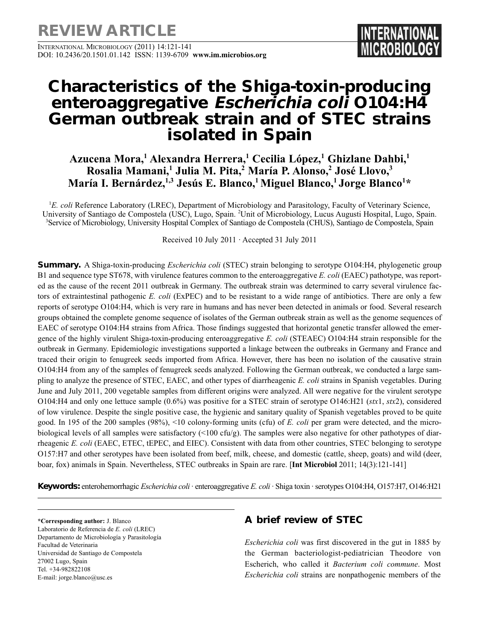**REVIEW ARTICLE**

INTERNATIONAL MICROBIOLOGY (2011) 14:121-141 DOI: 10.2436/20.1501.01.142 ISSN: 1139-6709 **www.im.microbios.org** 

# **Characteristics of the Shiga-toxin-producing enteroaggregative Escherichia coli O104:H4 German outbreak strain and of STEC strains isolated in Spain**

## **Azucena Mora,1 Alexandra Herrera,1 Cecilia López,1 Ghizlane Dahbi,1 Rosalia Mamani,1 Julia M. Pita,2 María P. Alonso,2 José Llovo,3 María I. Bernárdez,1,3 Jesús E. Blanco,1 Miguel Blanco,1 Jorge Blanco1 \***

<sup>1</sup>E. coli Reference Laboratory (LREC), Department of Microbiology and Parasitology, Faculty of Veterinary Science, University of Santiago de Compostela (USC), Lugo, Spain. <sup>2</sup>Unit of Microbiology, Lucus Augusti Hospital, Lugo, Spain. 3 Service of Microbiology, University Hospital Complex of Santiago de Compostela (CHUS), Santiago de Compostela, Spain

Received 10 July 2011 · Accepted 31 July 2011

**Summary.** A Shiga-toxin-producing *Escherichia coli* (STEC) strain belonging to serotype O104:H4, phylogenetic group B1 and sequence type ST678, with virulence features common to the enteroaggregative *E. coli* (EAEC) pathotype, was reported as the cause of the recent 2011 outbreak in Germany. The outbreak strain was determined to carry several virulence factors of extraintestinal pathogenic *E. coli* (ExPEC) and to be resistant to a wide range of antibiotics. There are only a few reports of serotype O104:H4, which is very rare in humans and has never been detected in animals or food. Several research groups obtained the complete genome sequence of isolates of the German outbreak strain as well as the genome sequences of EAEC of serotype O104:H4 strains from Africa. Those findings suggested that horizontal genetic transfer allowed the emergence of the highly virulent Shiga-toxin-producing enteroaggregative *E. coli* (STEAEC) O104:H4 strain responsible for the outbreak in Germany. Epidemiologic investigations supported a linkage between the outbreaks in Germany and France and traced their origin to fenugreek seeds imported from Africa. However, there has been no isolation of the causative strain O104:H4 from any of the samples of fenugreek seeds analyzed. Following the German outbreak, we conducted a large sampling to analyze the presence of STEC, EAEC, and other types of diarrheagenic *E. coli* strains in Spanish vegetables. During June and July 2011, 200 vegetable samples from different origins were analyzed. All were negative for the virulent serotype O104:H4 and only one lettuce sample (0.6%) was positive for a STEC strain of serotype O146:H21 (*stx*1, *stx*2), considered of low virulence. Despite the single positive case, the hygienic and sanitary quality of Spanish vegetables proved to be quite good. In 195 of the 200 samples (98%), <10 colony-forming units (cfu) of *E. coli* per gram were detected, and the microbiological levels of all samples were satisfactory  $(5100 \text{ cfty})$ . The samples were also negative for other pathotypes of diarrheagenic *E. coli* (EAEC, ETEC, tEPEC, and EIEC). Consistent with data from other countries, STEC belonging to serotype O157:H7 and other serotypes have been isolated from beef, milk, cheese, and domestic (cattle, sheep, goats) and wild (deer, boar, fox) animals in Spain. Nevertheless, STEC outbreaks in Spain are rare. [**Int Microbiol** 2011; 14(3):121-141]

**Keywords:** enterohemorrhagic *Escherichia coli ·* enteroaggregative *E. coli* · Shiga toxin · serotypes O104:H4, O157:H7, O146:H21

**\*Corresponding author:** J. Blanco Laboratorio de Referencia de *E. coli* (LREC) Departamento de Microbiología y Parasitología Facultad de Veterinaria Universidad de Santiago de Compostela 27002 Lugo, Spain Tel. +34-982822108 E-mail: jorge.blanco@usc.es

## **A brief review of STEC**

*Escherichia coli* was first discovered in the gut in 1885 by the German bacteriologist-pediatrician Theodore von Escherich, who called it *Bacterium coli commune*. Most *Escherichia coli* strains are nonpathogenic members of the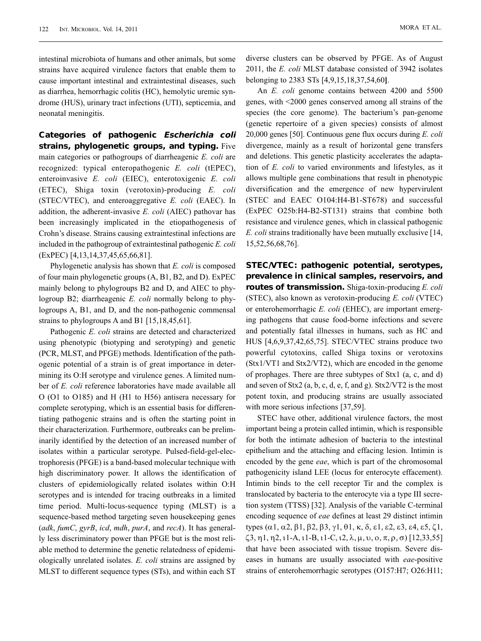intestinal microbiota of humans and other animals, but some strains have acquired virulence factors that enable them to cause important intestinal and extraintestinal diseases, such as diarrhea, hemorrhagic colitis (HC), hemolytic uremic syndrome (HUS), urinary tract infections (UTI), septicemia, and neonatal meningitis.

**Categories of pathogenic Escherichia coli strains, phylogenetic groups, and typing.** Five main categories or pathogroups of diarrheagenic *E. coli* are recognized: typical enteropathogenic *E. coli* (tEPEC), enteroinvasive *E. coli* (EIEC), enterotoxigenic *E. coli* (ETEC), Shiga toxin (verotoxin)-producing *E. coli* (STEC/VTEC), and enteroaggregative *E. coli* (EAEC). In addition, the adherent-invasive *E. coli* (AIEC) pathovar has been increasingly implicated in the etiopathogenesis of Crohn's disease. Strains causing extraintestinal infections are included in the pathogroup of extraintestinal pathogenic *E. coli* (ExPEC) [4,13,14,37,45,65,66,81].

Phylogenetic analysis has shown that *E. coli* is composed of four main phylogenetic groups (A, B1, B2, and D). ExPEC mainly belong to phylogroups B2 and D, and AIEC to phylogroup B2; diarrheagenic *E. coli* normally belong to phylogroups A, B1, and D, and the non-pathogenic commensal strains to phylogroups A and B1 [15,18,45,61].

Pathogenic *E. coli* strains are detected and characterized using phenotypic (biotyping and serotyping) and genetic (PCR, MLST, and PFGE) methods. Identification of the pathogenic potential of a strain is of great importance in determining its O:H serotype and virulence genes. A limited number of *E. coli* reference laboratories have made available all O (O1 to O185) and H (H1 to H56) antisera necessary for complete serotyping, which is an essential basis for differentiating pathogenic strains and is often the starting point in their characterization. Furthermore, outbreaks can be preliminarily identified by the detection of an increased number of isolates within a particular serotype. Pulsed-field-gel-electrophoresis (PFGE) is a band-based molecular technique with high discriminatory power. It allows the identification of clusters of epidemiologically related isolates within O:H serotypes and is intended for tracing outbreaks in a limited time period. Multi-locus-sequence typing (MLST) is a sequence-based method targeting seven housekeeping genes (*adk*, *fumC*, *gyrB*, *icd*, *mdh*, *purA*, and *recA*). It has generally less discriminatory power than PFGE but is the most reliable method to determine the genetic relatedness of epidemiologically unrelated isolates. *E. coli* strains are assigned by MLST to different sequence types (STs), and within each ST

diverse clusters can be observed by PFGE. As of August 2011, the *E. coli* MLST database consisted of 3942 isolates belonging to 2383 STs [4,9,15,18,37,54,60**]**.

An *E. coli* genome contains between 4200 and 5500 genes, with <2000 genes conserved among all strains of the species (the core genome). The bacterium's pan-genome (genetic repertoire of a given species) consists of almost 20,000 genes [50]. Continuous gene flux occurs during *E. coli* divergence, mainly as a result of horizontal gene transfers and deletions. This genetic plasticity accelerates the adaptation of *E. coli* to varied environments and lifestyles, as it allows multiple gene combinations that result in phenotypic diversification and the emergence of new hypervirulent (STEC and EAEC O104:H4-B1-ST678) and successful (ExPEC O25b:H4-B2-ST131) strains that combine both resistance and virulence genes, which in classical pathogenic *E. coli* strains traditionally have been mutually exclusive [14, 15,52,56,68,76].

**STEC/VTEC: pathogenic potential, serotypes, prevalence in clinical samples, reservoirs, and routes of transmission.** Shiga-toxin-producing *E. coli* (STEC), also known as verotoxin-producing *E. coli* (VTEC) or enterohemorrhagic *E. coli* (EHEC), are important emerging pathogens that cause food-borne infections and severe and potentially fatal illnesses in humans, such as HC and HUS [4,6,9,37,42,65,75]. STEC/VTEC strains produce two powerful cytotoxins, called Shiga toxins or verotoxins (Stx1/VT1 and Stx2/VT2), which are encoded in the genome of prophages. There are three subtypes of Stx1 (a, c, and d) and seven of Stx2 (a, b, c, d, e, f, and g). Stx2/VT2 is the most potent toxin, and producing strains are usually associated with more serious infections [37,59].

STEC have other, additional virulence factors, the most important being a protein called intimin, which is responsible for both the intimate adhesion of bacteria to the intestinal epithelium and the attaching and effacing lesion. Intimin is encoded by the gene *eae*, which is part of the chromosomal pathogenicity island LEE (locus for enterocyte effacement). Intimin binds to the cell receptor Tir and the complex is translocated by bacteria to the enterocyte via a type III secretion system (TTSS) [32]. Analysis of the variable C-terminal encoding sequence of *eae* defines at least 29 distinct intimin types (α1, α2, β1, β2, β3, γ1, θ1, κ, δ, ε1, ε2, ε3, ε4, ε5, ζ1,  $\zeta$ 3, η1, η2, ι1-A, ι1-B, ι1-C, ι2,  $\lambda$ ,  $\mu$ ,  $\nu$ ,  $o$ ,  $\pi$ ,  $\rho$ ,  $\sigma$ ) [12,33,55] that have been associated with tissue tropism. Severe diseases in humans are usually associated with *eae*-positive strains of enterohemorrhagic serotypes (O157:H7; O26:H11;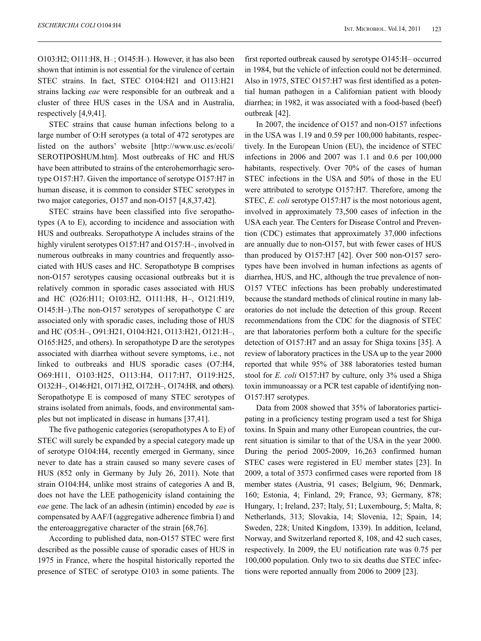O103:H2; O111:H8, H– ; O145:H–). However, it has also been shown that intimin is not essential for the virulence of certain STEC strains. In fact, STEC O104:H21 and O113:H21 strains lacking *eae* were responsible for an outbreak and a cluster of three HUS cases in the USA and in Australia, respectively [4,9,41].

STEC strains that cause human infections belong to a large number of O:H serotypes (a total of 472 serotypes are listed on the authors' website [http://www.usc.es/ecoli/ SEROTIPOSHUM.htm]. Most outbreaks of HC and HUS have been attributed to strains of the enterohemorrhagic serotype O157:H7. Given the importance of serotype O157:H7 in human disease, it is common to consider STEC serotypes in two major categories, O157 and non-O157 [4,8,37,42].

STEC strains have been classified into five seropathotypes (A to E), according to incidence and association with HUS and outbreaks. Seropathotype A includes strains of the highly virulent serotypes O157:H7 and O157:H-, involved in numerous outbreaks in many countries and frequently associated with HUS cases and HC. Seropathotype B comprises non-O157 serotypes causing occasional outbreaks but it is relatively common in sporadic cases associated with HUS and HC (O26:H11; O103:H2, O111:H8, H–, O121:H19, O145:H–).The non-O157 serotypes of seropathotype C are associated only with sporadic cases, including those of HUS and HC (O5:H–, O91:H21, O104:H21, O113:H21, O121:H–, O165:H25, and others). In seropathotype D are the serotypes associated with diarrhea without severe symptoms, i.e., not linked to outbreaks and HUS sporadic cases (O7:H4, O69:H11, O103:H25, O113:H4, O117:H7, O119:H25, O132:H–, O146:H21, O171:H2, O172:H–, O174:H8, and others). Seropathotype E is composed of many STEC serotypes of strains isolated from animals, foods, and environmental samples but not implicated in disease in humans [37,41].

The five pathogenic categories (seropathotypes A to E) of STEC will surely be expanded by a special category made up of serotype O104:H4, recently emerged in Germany, since never to date has a strain caused so many severe cases of HUS (852 only in Germany by July 26, 2011). Note that strain O104:H4, unlike most strains of categories A and B, does not have the LEE pathogenicity island containing the *eae* gene. The lack of an adhesin (intimin) encoded by *eae* is compensated by AAF/I (aggregative adherence fimbria I) and the enteroaggregative character of the strain [68,76].

According to published data, non-O157 STEC were first described as the possible cause of sporadic cases of HUS in 1975 in France, where the hospital historically reported the presence of STEC of serotype O103 in some patients. The first reported outbreak caused by serotype O145:H– occurred in 1984, but the vehicle of infection could not be determined. Also in 1975, STEC O157:H7 was first identified as a potential human pathogen in a Californian patient with bloody diarrhea; in 1982, it was associated with a food-based (beef) outbreak [42].

In 2007, the incidence of O157 and non-O157 infections in the USA was 1.19 and 0.59 per 100,000 habitants, respectively. In the European Union (EU), the incidence of STEC infections in 2006 and 2007 was 1.1 and 0.6 per 100,000 habitants, respectively. Over 70% of the cases of human STEC infections in the USA and 50% of those in the EU were attributed to serotype O157:H7. Therefore, among the STEC, *E. coli* serotype O157:H7 is the most notorious agent, involved in approximately 73,500 cases of infection in the USA each year. The Centers for Disease Control and Prevention (CDC) estimates that approximately 37,000 infections are annually due to non-O157, but with fewer cases of HUS than produced by O157:H7 [42]. Over 500 non-O157 serotypes have been involved in human infections as agents of diarrhea, HUS, and HC, although the true prevalence of non-O157 VTEC infections has been probably underestimated because the standard methods of clinical routine in many laboratories do not include the detection of this group. Recent recommendations from the CDC for the diagnosis of STEC are that laboratories perform both a culture for the specific detection of O157:H7 and an assay for Shiga toxins [35]. A review of laboratory practices in the USA up to the year 2000 reported that while 95% of 388 laboratories tested human stool for *E. coli* O157:H7 by culture, only 3% used a Shiga toxin immunoassay or a PCR test capable of identifying non-O157:H7 serotypes.

Data from 2008 showed that 35% of laboratories participating in a proficiency testing program used a test for Shiga toxins. In Spain and many other European countries, the current situation is similar to that of the USA in the year 2000. During the period 2005-2009, 16,263 confirmed human STEC cases were registered in EU member states [23]. In 2009, a total of 3573 confirmed cases were reported from 18 member states (Austria, 91 cases; Belgium, 96; Denmark, 160; Estonia, 4; Finland, 29; France, 93; Germany, 878; Hungary, 1; Ireland, 237; Italy, 51; Luxembourg, 5; Malta, 8; Netherlands, 313; Slovakia, 14; Slovenia, 12; Spain, 14; Sweden, 228; United Kingdom, 1339). In addition, Iceland, Norway, and Switzerland reported 8, 108, and 42 such cases, respectively. In 2009, the EU notification rate was 0.75 per 100,000 population. Only two to six deaths due STEC infections were reported annually from 2006 to 2009 [23].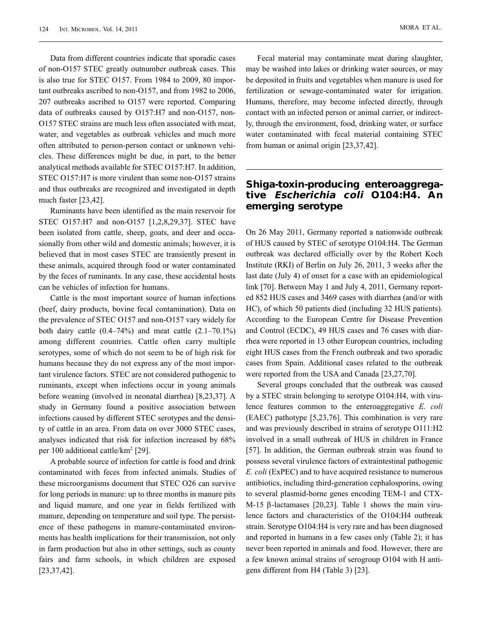Data from different countries indicate that sporadic cases of non-O157 STEC greatly outnumber outbreak cases. This is also true for STEC O157. From 1984 to 2009, 80 important outbreaks ascribed to non-O157, and from 1982 to 2006, 207 outbreaks ascribed to O157 were reported. Comparing data of outbreaks caused by O157:H7 and non-O157, non-O157 STEC strains are much less often associated with meat, water, and vegetables as outbreak vehicles and much more often attributed to person-person contact or unknown vehicles. These differences might be due, in part, to the better analytical methods available for STEC O157:H7. In addition, STEC O157:H7 is more virulent than some non-O157 strains and thus outbreaks are recognized and investigated in depth much faster [23,42].

Ruminants have been identified as the main reservoir for STEC O157:H7 and non-O157 [1,2,8,29,37]. STEC have been isolated from cattle, sheep, goats, and deer and occasionally from other wild and domestic animals; however, it is believed that in most cases STEC are transiently present in these animals, acquired through food or water contaminated by the feces of ruminants. In any case, these accidental hosts can be vehicles of infection for humans.

Cattle is the most important source of human infections (beef, dairy products, bovine fecal contamination). Data on the prevalence of STEC O157 and non-O157 vary widely for both dairy cattle  $(0.4-74\%)$  and meat cattle  $(2.1-70.1\%)$ among different countries. Cattle often carry multiple serotypes, some of which do not seem to be of high risk for humans because they do not express any of the most important virulence factors. STEC are not considered pathogenic to ruminants, except when infections occur in young animals before weaning (involved in neonatal diarrhea) [8,23,37]. A study in Germany found a positive association between infections caused by different STEC serotypes and the density of cattle in an area. From data on over 3000 STEC cases, analyses indicated that risk for infection increased by 68% per 100 additional cattle/km2 [29].

A probable source of infection for cattle is food and drink contaminated with feces from infected animals. Studies of these microorganisms document that STEC O26 can survive for long periods in manure: up to three months in manure pits and liquid manure, and one year in fields fertilized with manure, depending on temperature and soil type. The persistence of these pathogens in manure-contaminated environments has health implications for their transmission, not only in farm production but also in other settings, such as county fairs and farm schools, in which children are exposed [23,37,42].

Fecal material may contaminate meat during slaughter, may be washed into lakes or drinking water sources, or may be deposited in fruits and vegetables when manure is used for fertilization or sewage-contaminated water for irrigation. Humans, therefore, may become infected directly, through contact with an infected person or animal carrier, or indirectly, through the environment, food, drinking water, or surface water contaminated with fecal material containing STEC from human or animal origin [23,37,42].

#### **Shiga-toxin-producing enteroaggregative Escherichia coli O104:H4. An emerging serotype**

On 26 May 2011, Germany reported a nationwide outbreak of HUS caused by STEC of serotype O104:H4. The German outbreak was declared officially over by the Robert Koch Institute (RKI) of Berlin on July 26, 2011, 3 weeks after the last date (July 4) of onset for a case with an epidemiological link [70]. Between May 1 and July 4, 2011, Germany reported 852 HUS cases and 3469 cases with diarrhea (and/or with HC), of which 50 patients died (including 32 HUS patients). According to the European Centre for Disease Prevention and Control (ECDC), 49 HUS cases and 76 cases with diarrhea were reported in 13 other European countries, including eight HUS cases from the French outbreak and two sporadic cases from Spain. Additional cases related to the outbreak were reported from the USA and Canada [23,27,70].

Several groups concluded that the outbreak was caused by a STEC strain belonging to serotype O104:H4, with virulence features common to the enteroaggregative *E. coli* (EAEC) pathotype [5,23,76]. This combination is very rare and was previously described in strains of serotype O111:H2 involved in a small outbreak of HUS in children in France [57]. In addition, the German outbreak strain was found to possess several virulence factors of extraintestinal pathogenic *E. coli* (ExPEC) and to have acquired resistance to numerous antibiotics, including third-generation cephalosporins, owing to several plasmid-borne genes encoding TEM-1 and CTX-M-15 β-lactamases [20,23]. Table 1 shows the main virulence factors and characteristics of the O104:H4 outbreak strain. Serotype O104:H4 is very rare and has been diagnosed and reported in humans in a few cases only (Table 2); it has never been reported in animals and food. However, there are a few known animal strains of serogroup O104 with H antigens different from H4 (Table 3) [23].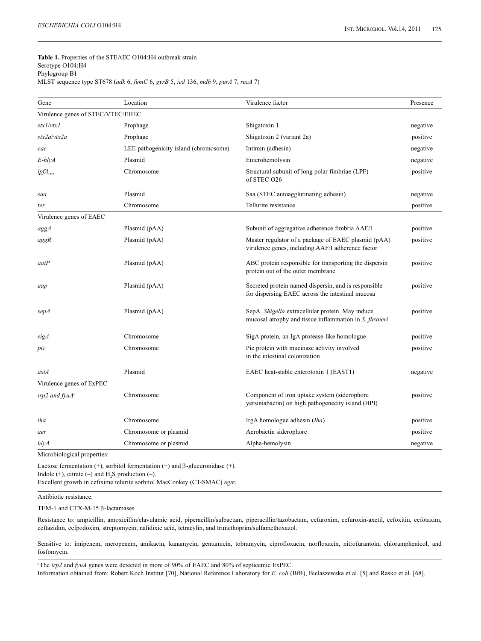#### **Table 1.** Properties of the STEAEC O104:H4 outbreak strain Serotype O104:H4 Phylogroup B1 MLST sequence type ST678 (*adk* 6, *fumC* 6, *gyrB* 5, *icd* 136, *mdh* 9, *purA* 7, *recA* 7)

| Virulence genes of STEC/VTEC/EHEC<br>stx1/vtx1<br>Shigatoxin 1<br>Prophage<br>negative<br>Shigatoxin 2 (variant 2a)<br>stx2a/vtx2a<br>Prophage<br>positive<br>LEE pathogenicity island (chromosome)<br>Intimin (adhesin)<br>negative<br>eae<br>Plasmid<br>Enterohemolysin<br>E-hlyA<br>negative<br>Chromosome<br>Structural subunit of long polar fimbriae (LPF)<br>$lpfA_{026}$<br>positive<br>of STEC O26<br>Plasmid<br>Saa (STEC autoagglutinating adhesin)<br>negative<br>saa<br>Tellurite resistance<br>positive<br>Chromosome<br>ter<br>Virulence genes of EAEC<br>Subunit of aggregative adherence fimbria AAF/I<br>Plasmid (pAA)<br>positive<br>aggA<br>Plasmid (pAA)<br>Master regulator of a package of EAEC plasmid (pAA)<br>positive<br>aggR<br>virulence genes, including AAF/I adherence factor<br>Plasmid (pAA)<br>ABC protein responsible for transporting the dispersin<br>positive<br>aatP<br>protein out of the outer membrane<br>Secreted protein named dispersin, and is responsible<br>Plasmid (pAA)<br>positive<br>aap<br>for dispersing EAEC across the intestinal mucosa<br>SepA. Shigella extracellular protein. May induce<br>Plasmid (pAA)<br>positive<br>sepA<br>mucosal atrophy and tissue inflammation in S. flexneri<br>Chromosome<br>SigA protein, an IgA protease-like homologue<br>positive<br>sigA<br>Pic protein with mucinase activity involved<br>positive<br>Chromosome<br>pic<br>in the intestinal colonization<br>Plasmid<br>EAEC heat-stable enterotoxin 1 (EAST1)<br>negative<br>astA<br>Virulence genes of ExPEC<br>Component of iron uptake system (siderophore<br>positive<br>Chromosome<br>irp2 and $f_{V}uA^{a}$<br>yersiniabactin) on high pathogenecity island (HPI)<br>Chromosome<br>IrgA homologue adhesin (Iha)<br>positive<br>iha<br>Chromosome or plasmid<br>Aerobactin siderophore<br>positive<br>aer<br>Chromosome or plasmid<br>Alpha-hemolysin<br>negative<br>hlyA | Gene | Location | Virulence factor | Presence |
|--------------------------------------------------------------------------------------------------------------------------------------------------------------------------------------------------------------------------------------------------------------------------------------------------------------------------------------------------------------------------------------------------------------------------------------------------------------------------------------------------------------------------------------------------------------------------------------------------------------------------------------------------------------------------------------------------------------------------------------------------------------------------------------------------------------------------------------------------------------------------------------------------------------------------------------------------------------------------------------------------------------------------------------------------------------------------------------------------------------------------------------------------------------------------------------------------------------------------------------------------------------------------------------------------------------------------------------------------------------------------------------------------------------------------------------------------------------------------------------------------------------------------------------------------------------------------------------------------------------------------------------------------------------------------------------------------------------------------------------------------------------------------------------------------------------------------------------------------------------------------------------------------------------------------------|------|----------|------------------|----------|
|                                                                                                                                                                                                                                                                                                                                                                                                                                                                                                                                                                                                                                                                                                                                                                                                                                                                                                                                                                                                                                                                                                                                                                                                                                                                                                                                                                                                                                                                                                                                                                                                                                                                                                                                                                                                                                                                                                                                |      |          |                  |          |
|                                                                                                                                                                                                                                                                                                                                                                                                                                                                                                                                                                                                                                                                                                                                                                                                                                                                                                                                                                                                                                                                                                                                                                                                                                                                                                                                                                                                                                                                                                                                                                                                                                                                                                                                                                                                                                                                                                                                |      |          |                  |          |
|                                                                                                                                                                                                                                                                                                                                                                                                                                                                                                                                                                                                                                                                                                                                                                                                                                                                                                                                                                                                                                                                                                                                                                                                                                                                                                                                                                                                                                                                                                                                                                                                                                                                                                                                                                                                                                                                                                                                |      |          |                  |          |
|                                                                                                                                                                                                                                                                                                                                                                                                                                                                                                                                                                                                                                                                                                                                                                                                                                                                                                                                                                                                                                                                                                                                                                                                                                                                                                                                                                                                                                                                                                                                                                                                                                                                                                                                                                                                                                                                                                                                |      |          |                  |          |
|                                                                                                                                                                                                                                                                                                                                                                                                                                                                                                                                                                                                                                                                                                                                                                                                                                                                                                                                                                                                                                                                                                                                                                                                                                                                                                                                                                                                                                                                                                                                                                                                                                                                                                                                                                                                                                                                                                                                |      |          |                  |          |
|                                                                                                                                                                                                                                                                                                                                                                                                                                                                                                                                                                                                                                                                                                                                                                                                                                                                                                                                                                                                                                                                                                                                                                                                                                                                                                                                                                                                                                                                                                                                                                                                                                                                                                                                                                                                                                                                                                                                |      |          |                  |          |
|                                                                                                                                                                                                                                                                                                                                                                                                                                                                                                                                                                                                                                                                                                                                                                                                                                                                                                                                                                                                                                                                                                                                                                                                                                                                                                                                                                                                                                                                                                                                                                                                                                                                                                                                                                                                                                                                                                                                |      |          |                  |          |
|                                                                                                                                                                                                                                                                                                                                                                                                                                                                                                                                                                                                                                                                                                                                                                                                                                                                                                                                                                                                                                                                                                                                                                                                                                                                                                                                                                                                                                                                                                                                                                                                                                                                                                                                                                                                                                                                                                                                |      |          |                  |          |
|                                                                                                                                                                                                                                                                                                                                                                                                                                                                                                                                                                                                                                                                                                                                                                                                                                                                                                                                                                                                                                                                                                                                                                                                                                                                                                                                                                                                                                                                                                                                                                                                                                                                                                                                                                                                                                                                                                                                |      |          |                  |          |
|                                                                                                                                                                                                                                                                                                                                                                                                                                                                                                                                                                                                                                                                                                                                                                                                                                                                                                                                                                                                                                                                                                                                                                                                                                                                                                                                                                                                                                                                                                                                                                                                                                                                                                                                                                                                                                                                                                                                |      |          |                  |          |
|                                                                                                                                                                                                                                                                                                                                                                                                                                                                                                                                                                                                                                                                                                                                                                                                                                                                                                                                                                                                                                                                                                                                                                                                                                                                                                                                                                                                                                                                                                                                                                                                                                                                                                                                                                                                                                                                                                                                |      |          |                  |          |
|                                                                                                                                                                                                                                                                                                                                                                                                                                                                                                                                                                                                                                                                                                                                                                                                                                                                                                                                                                                                                                                                                                                                                                                                                                                                                                                                                                                                                                                                                                                                                                                                                                                                                                                                                                                                                                                                                                                                |      |          |                  |          |
|                                                                                                                                                                                                                                                                                                                                                                                                                                                                                                                                                                                                                                                                                                                                                                                                                                                                                                                                                                                                                                                                                                                                                                                                                                                                                                                                                                                                                                                                                                                                                                                                                                                                                                                                                                                                                                                                                                                                |      |          |                  |          |
|                                                                                                                                                                                                                                                                                                                                                                                                                                                                                                                                                                                                                                                                                                                                                                                                                                                                                                                                                                                                                                                                                                                                                                                                                                                                                                                                                                                                                                                                                                                                                                                                                                                                                                                                                                                                                                                                                                                                |      |          |                  |          |
|                                                                                                                                                                                                                                                                                                                                                                                                                                                                                                                                                                                                                                                                                                                                                                                                                                                                                                                                                                                                                                                                                                                                                                                                                                                                                                                                                                                                                                                                                                                                                                                                                                                                                                                                                                                                                                                                                                                                |      |          |                  |          |
|                                                                                                                                                                                                                                                                                                                                                                                                                                                                                                                                                                                                                                                                                                                                                                                                                                                                                                                                                                                                                                                                                                                                                                                                                                                                                                                                                                                                                                                                                                                                                                                                                                                                                                                                                                                                                                                                                                                                |      |          |                  |          |
|                                                                                                                                                                                                                                                                                                                                                                                                                                                                                                                                                                                                                                                                                                                                                                                                                                                                                                                                                                                                                                                                                                                                                                                                                                                                                                                                                                                                                                                                                                                                                                                                                                                                                                                                                                                                                                                                                                                                |      |          |                  |          |
|                                                                                                                                                                                                                                                                                                                                                                                                                                                                                                                                                                                                                                                                                                                                                                                                                                                                                                                                                                                                                                                                                                                                                                                                                                                                                                                                                                                                                                                                                                                                                                                                                                                                                                                                                                                                                                                                                                                                |      |          |                  |          |
|                                                                                                                                                                                                                                                                                                                                                                                                                                                                                                                                                                                                                                                                                                                                                                                                                                                                                                                                                                                                                                                                                                                                                                                                                                                                                                                                                                                                                                                                                                                                                                                                                                                                                                                                                                                                                                                                                                                                |      |          |                  |          |
|                                                                                                                                                                                                                                                                                                                                                                                                                                                                                                                                                                                                                                                                                                                                                                                                                                                                                                                                                                                                                                                                                                                                                                                                                                                                                                                                                                                                                                                                                                                                                                                                                                                                                                                                                                                                                                                                                                                                |      |          |                  |          |
|                                                                                                                                                                                                                                                                                                                                                                                                                                                                                                                                                                                                                                                                                                                                                                                                                                                                                                                                                                                                                                                                                                                                                                                                                                                                                                                                                                                                                                                                                                                                                                                                                                                                                                                                                                                                                                                                                                                                |      |          |                  |          |
|                                                                                                                                                                                                                                                                                                                                                                                                                                                                                                                                                                                                                                                                                                                                                                                                                                                                                                                                                                                                                                                                                                                                                                                                                                                                                                                                                                                                                                                                                                                                                                                                                                                                                                                                                                                                                                                                                                                                |      |          |                  |          |

Microbiological properties:

Lactose fermentation (+), sorbitol fermentation (+) and  $\beta$ -glucuronidase (+). Indole  $(+)$ , citrate  $(-)$  and H<sub>2</sub>S production  $(-)$ .

Excellent growth in cefixime telurite sorbitol MacConkey (CT-SMAC) agar.

#### Antibiotic resistance:

TEM-1 and CTX-M-15 β-lactamases

Resistance to: ampicillin, amoxicillin/clavulamic acid, piperacillin/sulbactam, piperacillin/tazobactam, cefuroxim, cefuroxin-axetil, cefoxitin, cefotaxim, ceftazidim, cefpodoxim, streptomycin, nalidixic acid, tetracylin, and trimethoprim/sulfamethoxazol.

Sensitive to: imipenem, meropenem, amikacin, kanamycin, gentamicin, tobramycin, ciprofloxacin, norfloxacin, nitrofurantoin, chloramphenicol, and fosfomycin.

*a* The *irp2* and *fyuA* genes were detected in more of 90% of EAEC and 80% of septicemic ExPEC. Information obtained from: Robert Koch Institut [70], National Reference Laboratory for *E. coli* (BfR), Bielaszewska et al. [5] and Rasko et al. [68].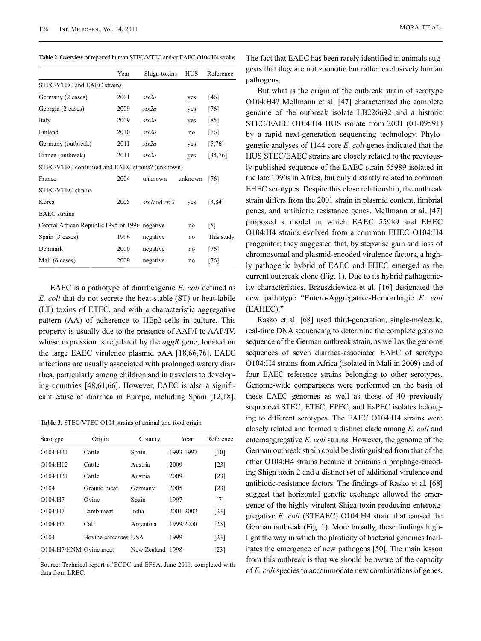**Table 2.** Overview of reported human STEC/VTEC and/or EAEC O104:H4 strains

|                                                 | Year | Shiga-toxins      | <b>HUS</b> | Reference         |  |  |
|-------------------------------------------------|------|-------------------|------------|-------------------|--|--|
| STEC/VTEC and EAEC strains                      |      |                   |            |                   |  |  |
| Germany (2 cases)                               | 2001 | str2a             | yes        | [46]              |  |  |
| Georgia (2 cases)                               | 2009 | stx2a             | yes        | [76]              |  |  |
| Italy                                           | 2009 | stx2a             | yes        | [85]              |  |  |
| Finland                                         | 2010 | str2a             | no         | $[76]$            |  |  |
| Germany (outbreak)                              | 2011 | str2a             | yes        | [5, 76]           |  |  |
| France (outbreak)                               | 2011 | str2a             | yes        | [34,76]           |  |  |
| STEC/VTEC confirmed and EAEC strains? (unknown) |      |                   |            |                   |  |  |
| France                                          | 2004 | unknown           | unknown    | [76]              |  |  |
| STEC/VTEC strains                               |      |                   |            |                   |  |  |
| Korea                                           | 2005 | $stx/$ and $stx2$ | yes        | [3, 84]           |  |  |
| <b>EAEC</b> strains                             |      |                   |            |                   |  |  |
| Central African Republic 1995 or 1996 negative  |      |                   | no         | $\lceil 5 \rceil$ |  |  |
| Spain (3 cases)                                 | 1996 | negative          | no         | This study        |  |  |
| Denmark                                         | 2000 | negative          | no         | $[76]$            |  |  |
| Mali (6 cases)                                  | 2009 | negative          | no         | [76]              |  |  |

EAEC is a pathotype of diarrheagenic *E. coli* defined as *E. coli* that do not secrete the heat-stable (ST) or heat-labile (LT) toxins of ETEC, and with a characteristic aggregative pattern (AA) of adherence to HEp2-cells in culture. This property is usually due to the presence of AAF/I to AAF/IV, whose expression is regulated by the *aggR* gene, located on the large EAEC virulence plasmid pAA [18,66,76]. EAEC infections are usually associated with prolonged watery diarrhea, particularly among children and in travelers to developing countries [48,61,66]. However, EAEC is also a significant cause of diarrhea in Europe, including Spain [12,18].

**Table 3.** STEC/VTEC O104 strains of animal and food origin

| Serotype                       | Origin               | Country          | Year      | Reference |
|--------------------------------|----------------------|------------------|-----------|-----------|
| $O104 \cdot H21$               | Cattle               | Spain            | 1993-1997 | [10]      |
| $O104 \cdot H12$               | Cattle               | Austria          | 2009      | [23]      |
| $O104 \cdot H21$               | Cattle               | Austria          | 2009      | [23]      |
| $\Omega$ 104                   | Ground meat          | Germany          | 2005      | [23]      |
| $O104 \cdot H7$                | Ovine                | Spain            | 1997      | $[7]$     |
| $O104 \cdot H7$                | Lamb meat            | India            | 2001-2002 | $[23]$    |
| $O104 \cdot H7$                | Calf                 | Argentina        | 1999/2000 | [23]      |
| $\Omega$ 104                   | Bovine carcasses USA |                  | 1999      | [23]      |
| $O104 \cdot H7/HNM$ Ovine meat |                      | New Zealand 1998 |           | [23]      |
|                                |                      |                  |           |           |

Source: Technical report of ECDC and EFSA, June 2011, completed with data from LREC.

The fact that EAEC has been rarely identified in animals suggests that they are not zoonotic but rather exclusively human pathogens.

But what is the origin of the outbreak strain of serotype O104:H4? Mellmann et al. [47] characterized the complete genome of the outbreak isolate LB226692 and a historic STEC/EAEC O104:H4 HUS isolate from 2001 (01-09591) by a rapid next-generation sequencing technology. Phylogenetic analyses of 1144 core *E. coli* genes indicated that the HUS STEC/EAEC strains are closely related to the previously published sequence of the EAEC strain 55989 isolated in the late 1990s in Africa, but only distantly related to common EHEC serotypes. Despite this close relationship, the outbreak strain differs from the 2001 strain in plasmid content, fimbrial genes, and antibiotic resistance genes. Mellmann et al. [47] proposed a model in which EAEC 55989 and EHEC O104:H4 strains evolved from a common EHEC O104:H4 progenitor; they suggested that, by stepwise gain and loss of chromosomal and plasmid-encoded virulence factors, a highly pathogenic hybrid of EAEC and EHEC emerged as the current outbreak clone (Fig. 1). Due to its hybrid pathogenicity characteristics, Brzuszkiewicz et al. [16] designated the new pathotype "Entero-Aggregative-Hemorrhagic *E. coli* (EAHEC)."

Rasko et al. [68] used third-generation, single-molecule, real-time DNA sequencing to determine the complete genome sequence of the German outbreak strain, as well as the genome sequences of seven diarrhea-associated EAEC of serotype O104:H4 strains from Africa (isolated in Mali in 2009) and of four EAEC reference strains belonging to other serotypes. Genome-wide comparisons were performed on the basis of these EAEC genomes as well as those of 40 previously sequenced STEC, ETEC, EPEC, and ExPEC isolates belonging to different serotypes. The EAEC O104:H4 strains were closely related and formed a distinct clade among *E. coli* and enteroaggregative *E. coli* strains. However, the genome of the German outbreak strain could be distinguished from that of the other O104:H4 strains because it contains a prophage-encoding Shiga toxin 2 and a distinct set of additional virulence and antibiotic-resistance factors. The findings of Rasko et al*.* [68] suggest that horizontal genetic exchange allowed the emergence of the highly virulent Shiga-toxin-producing enteroaggregative *E. coli* (STEAEC) O104:H4 strain that caused the German outbreak (Fig. 1). More broadly, these findings highlight the way in which the plasticity of bacterial genomes facilitates the emergence of new pathogens [50]. The main lesson from this outbreak is that we should be aware of the capacity of *E. coli* species to accommodate new combinations of genes,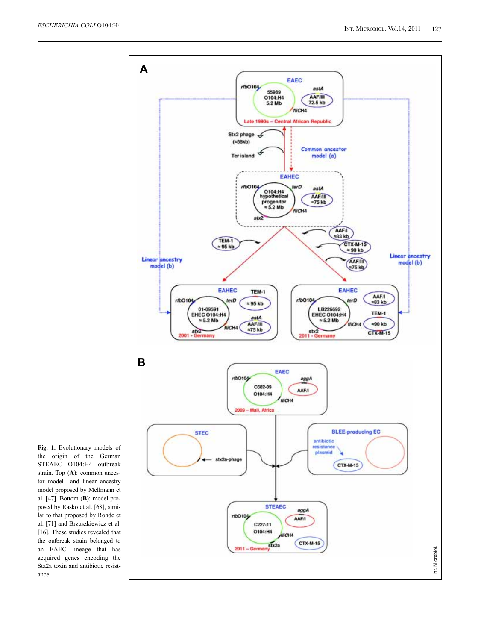

**Fig. 1.** Evolutionary models of the origin of the German STEAEC O104:H4 outbreak strain. Top (**A**): common ancestor model and linear ancestry model proposed by Mellmann et al. [47]. Bottom (**B**): model proposed by Rasko et al. [68], similar to that proposed by Rohde et al. [71] and Brzuszkiewicz et al. [16]. These studies revealed that the outbreak strain belonged to an EAEC lineage that has acquired genes encoding the Stx2a toxin and antibiotic resistance.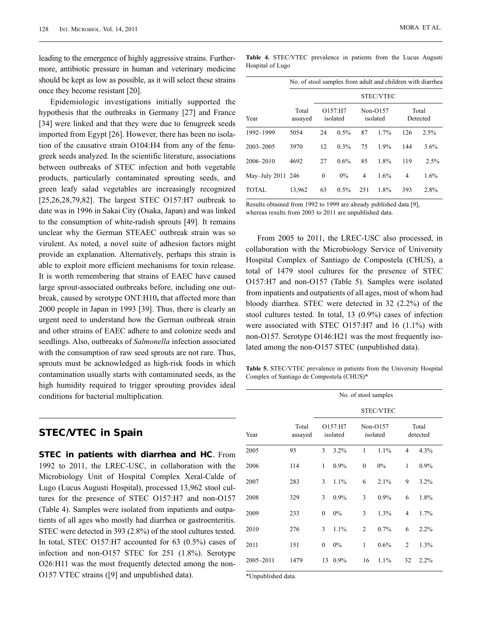leading to the emergence of highly aggressive strains. Furthermore, antibiotic pressure in human and veterinary medicine should be kept as low as possible, as it will select these strains once they become resistant [20].

Epidemiologic investigations initially supported the hypothesis that the outbreaks in Germany [27] and France [34] were linked and that they were due to fenugreek seeds imported from Egypt [26]. However, there has been no isolation of the causative strain O104:H4 from any of the fenugreek seeds analyzed. In the scientific literature, associations between outbreaks of STEC infection and both vegetable products, particularly contaminated sprouting seeds, and green leafy salad vegetables are increasingly recognized [25,26,28,79,82]. The largest STEC O157:H7 outbreak to date was in 1996 in Sakai City (Osaka, Japan) and was linked to the consumption of white-radish sprouts [49]. It remains unclear why the German STEAEC outbreak strain was so virulent. As noted, a novel suite of adhesion factors might provide an explanation. Alternatively, perhaps this strain is able to exploit more efficient mechanisms for toxin release. It is worth remembering that strains of EAEC have caused large sprout-associated outbreaks before, including one outbreak, caused by serotype ONT:H10**,** that affected more than 2000 people in Japan in 1993 [39]. Thus, there is clearly an urgent need to understand how the German outbreak strain and other strains of EAEC adhere to and colonize seeds and seedlings. Also, outbreaks of *Salmonella* infection associated with the consumption of raw seed sprouts are not rare. Thus, sprouts must be acknowledged as high-risk foods in which contamination usually starts with contaminated seeds, as the high humidity required to trigger sprouting provides ideal conditions for bacterial multiplication.

#### **STEC/VTEC in Spain**

**STEC in patients with diarrhea and HC**. From 1992 to 2011, the LREC-USC, in collaboration with the Microbiology Unit of Hospital Complex Xeral-Calde of Lugo (Lucus Augusti Hospital), processed 13,962 stool cultures for the presence of STEC O157:H7 and non-O157 (Table 4). Samples were isolated from inpatients and outpatients of all ages who mostly had diarrhea or gastroenteritis. STEC were detected in 393 (2.8%) of the stool cultures tested. In total, STEC O157:H7 accounted for 63 (0.5%) cases of infection and non-O157 STEC for 251 (1.8%). Serotype O26:H11 was the most frequently detected among the non-O157 VTEC strains ([9] and unpublished data).

|                   | No. of stool samples from adult and children with diarrhea |                     |      |                        |                  |                   |      |
|-------------------|------------------------------------------------------------|---------------------|------|------------------------|------------------|-------------------|------|
|                   |                                                            |                     |      |                        | <b>STEC/VTEC</b> |                   |      |
| Year              | Total<br>assayed                                           | O157:HT<br>isolated |      | $Non-O157$<br>isolated |                  | Total<br>Detected |      |
| 1992-1999         | 5054                                                       | 24                  | 0.5% | 87                     | 1.7%             | 126               | 2.5% |
| 2003-2005         | 3970                                                       | 12                  | 0.3% | 75                     | 1.9%             | 144               | 3.6% |
| 2006-2010         | 4692                                                       | 27                  | 0.6% | 85                     | 1.8%             | 119               | 2.5% |
| May-July 2011 246 |                                                            | $\mathbf{0}$        | 0%   | 4                      | 1.6%             | 4                 | 1.6% |
| <b>TOTAL</b>      | 13,962                                                     | 63                  | 0.5% | 251                    | 1.8%             | 393               | 2.8% |

Results obtained from 1992 to 1999 are already published data [9], whereas results from 2003 to 2011 are unpublished data.

From 2005 to 2011, the LREC-USC also processed, in collaboration with the Microbiology Service of University Hospital Complex of Santiago de Compostela (CHUS), a total of 1479 stool cultures for the presence of STEC O157:H7 and non-O157 (Table 5). Samples were isolated from inpatients and outpatients of all ages, most of whom had bloody diarrhea. STEC were detected in 32 (2.2%) of the stool cultures tested. In total, 13 (0.9%) cases of infection were associated with STEC O157:H7 and 16 (1.1%) with non-O157. Serotype O146:H21 was the most frequently isolated among the non-O157 STEC (unpublished data).

**Table 5.** STEC/VTEC prevalence in patients from the University Hospital Complex of Santiago de Compostela (CHUS)\*

|           |                  |              |                     |                | No. of stool samples   |                |                   |  |
|-----------|------------------|--------------|---------------------|----------------|------------------------|----------------|-------------------|--|
|           |                  |              |                     |                | STEC/VTEC              |                |                   |  |
| Year      | Total<br>assayed |              | O157:H7<br>isolated |                | $Non-O157$<br>isolated |                | Total<br>detected |  |
| 2005      | 93               | 3            | 3.2%                | $\mathbf{1}$   | 1.1%                   | $\overline{4}$ | 4.3%              |  |
| 2006      | 114              | $\mathbf{1}$ | 0.9%                | $\mathbf{0}$   | $0\%$                  | $\mathbf{1}$   | 0.9%              |  |
| 2007      | 283              | 3            | 1.1%                | 6              | 2.1%                   | 9              | 3.2%              |  |
| 2008      | 329              | 3            | 0.9%                | 3              | 0.9%                   | 6              | 1.8%              |  |
| 2009      | 233              | $\mathbf{0}$ | 0%                  | 3              | 1.3%                   | $\overline{4}$ | 1.7%              |  |
| 2010      | 276              | 3            | 1.1%                | $\overline{c}$ | 0.7%                   | 6              | 2.2%              |  |
| 2011      | 151              | $\mathbf{0}$ | 0%                  | $\mathbf{1}$   | 0.6%                   | $\overline{2}$ | 1.3%              |  |
| 2005-2011 | 1479             | 13           | 0.9%                | 16             | 1.1%                   | 32             | $2.2\%$           |  |
|           |                  |              |                     |                |                        |                |                   |  |

\*Unpublished data.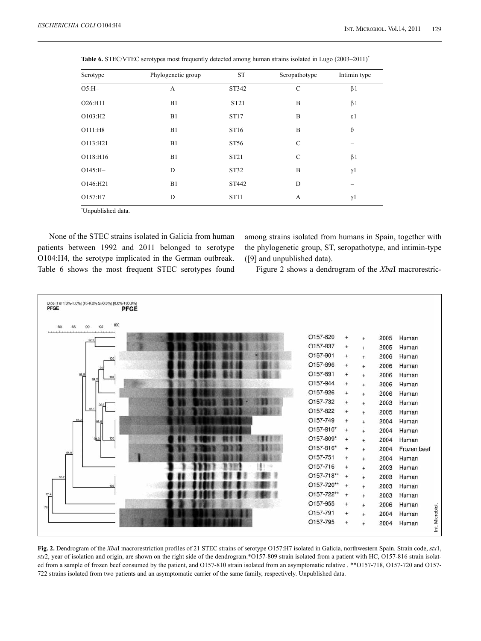| Serotype   | Phylogenetic group | ST               | Seropathotype | Intimin type    |
|------------|--------------------|------------------|---------------|-----------------|
| $O5:H-$    | A                  | ST342            | $\mathsf{C}$  | $\beta$ 1       |
| O26:H11    | B1                 | ST <sub>21</sub> | B             | $\beta$ 1       |
| O103:H2    | B1                 | ST17             | B             | $\varepsilon$ 1 |
| O111:H8    | B1                 | ST16             | B             | $\theta$        |
| O113:H21   | B1                 | ST56             | $\mathcal{C}$ |                 |
| O118:H16   | B1                 | ST21             | $\mathbf C$   | $\beta$ 1       |
| $O145:H -$ | D                  | ST32             | B             | $\gamma$ 1      |
| O146:H21   | B1                 | ST442            | D             |                 |
| O157:H7    | D                  | ST11             | A             | $\gamma$ 1      |

Table 6. STEC/VTEC serotypes most frequently detected among human strains isolated in Lugo (2003-2011)<sup>\*</sup>

*\** Unpublished data.

None of the STEC strains isolated in Galicia from human patients between 1992 and 2011 belonged to serotype O104:H4, the serotype implicated in the German outbreak. Table 6 shows the most frequent STEC serotypes found among strains isolated from humans in Spain, together with the phylogenetic group, ST, seropathotype, and intimin-type ([9] and unpublished data).

Figure 2 shows a dendrogram of the *Xba*I macrorestric-



**Fig. 2.** Dendrogram of the *Xba*I macrorestriction profiles of 21 STEC strains of serotype O157:H7 isolated in Galicia, northwestern Spain. Strain code, *stx*1, *stx*2, year of isolation and origin, are shown on the right side of the dendrogram.\*O157-809 strain isolated from a patient with HC, O157-816 strain isolated from a sample of frozen beef consumed by the patient, and O157-810 strain isolated from an asymptomatic relative . \*\*O157-718, O157-720 and O157- 722 strains isolated from two patients and an asymptomatic carrier of the same family, respectively. Unpublished data.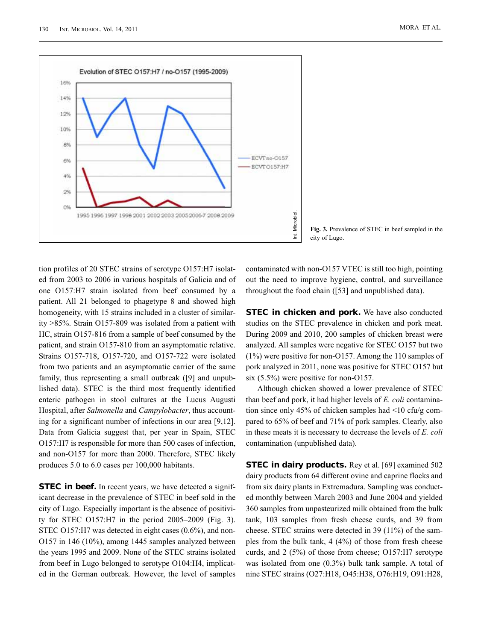

**Fig. 3.** Prevalence of STEC in beef sampled in the city of Lugo.

tion profiles of 20 STEC strains of serotype O157:H7 isolated from 2003 to 2006 in various hospitals of Galicia and of one O157:H7 strain isolated from beef consumed by a patient. All 21 belonged to phagetype 8 and showed high homogeneity, with 15 strains included in a cluster of similarity >85%. Strain O157-809 was isolated from a patient with HC, strain O157-816 from a sample of beef consumed by the patient, and strain O157-810 from an asymptomatic relative. Strains O157-718, O157-720, and O157-722 were isolated from two patients and an asymptomatic carrier of the same family, thus representing a small outbreak ([9] and unpublished data). STEC is the third most frequently identified enteric pathogen in stool cultures at the Lucus Augusti Hospital, after *Salmonella* and *Campylobacter*, thus accounting for a significant number of infections in our area [9,12]. Data from Galicia suggest that, per year in Spain, STEC O157:H7 is responsible for more than 500 cases of infection, and non-O157 for more than 2000. Therefore, STEC likely produces 5.0 to 6.0 cases per 100,000 habitants.

**STEC in beef.** In recent years, we have detected a significant decrease in the prevalence of STEC in beef sold in the city of Lugo. Especially important is the absence of positivity for STEC O157:H7 in the period 2005–2009 (Fig. 3). STEC O157:H7 was detected in eight cases (0.6%), and non-O157 in 146 (10%), among 1445 samples analyzed between the years 1995 and 2009. None of the STEC strains isolated from beef in Lugo belonged to serotype O104:H4, implicated in the German outbreak. However, the level of samples contaminated with non-O157 VTEC is still too high, pointing out the need to improve hygiene, control, and surveillance throughout the food chain ([53] and unpublished data).

**STEC in chicken and pork.** We have also conducted studies on the STEC prevalence in chicken and pork meat. During 2009 and 2010, 200 samples of chicken breast were analyzed. All samples were negative for STEC O157 but two (1%) were positive for non-O157. Among the 110 samples of pork analyzed in 2011, none was positive for STEC O157 but six (5.5%) were positive for non-O157.

Although chicken showed a lower prevalence of STEC than beef and pork, it had higher levels of *E. coli* contamination since only 45% of chicken samples had <10 cfu/g compared to 65% of beef and 71% of pork samples. Clearly, also in these meats it is necessary to decrease the levels of *E. coli* contamination (unpublished data).

**STEC in dairy products.** Rey et al. [69] examined 502 dairy products from 64 different ovine and caprine flocks and from six dairy plants in Extremadura. Sampling was conducted monthly between March 2003 and June 2004 and yielded 360 samples from unpasteurized milk obtained from the bulk tank, 103 samples from fresh cheese curds, and 39 from cheese. STEC strains were detected in 39 (11%) of the samples from the bulk tank, 4 (4%) of those from fresh cheese curds, and 2 (5%) of those from cheese; O157:H7 serotype was isolated from one (0.3%) bulk tank sample. A total of nine STEC strains (O27:H18, O45:H38, O76:H19, O91:H28,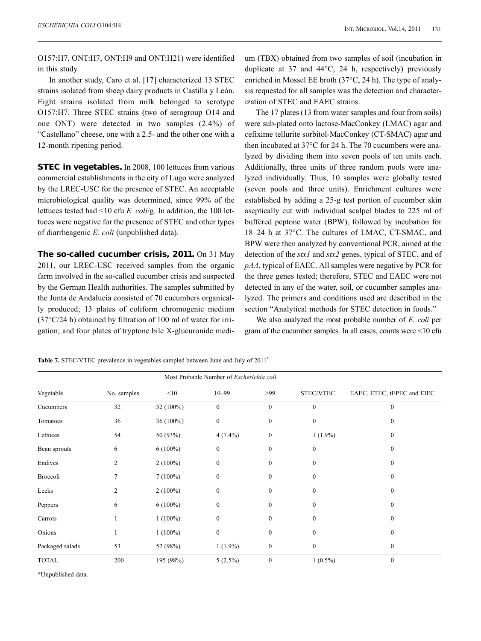O157:H7, ONT:H7, ONT:H9 and ONT:H21) were identified in this study.

In another study, Caro et al. [17] characterized 13 STEC strains isolated from sheep dairy products in Castilla y León. Eight strains isolated from milk belonged to serotype O157:H7. Three STEC strains (two of serogroup O14 and one ONT) were detected in two samples (2.4%) of "Castellano" cheese, one with a 2.5- and the other one with a 12-month ripening period.

**STEC in vegetables.** In 2008, 100 lettuces from various commercial establishments in the city of Lugo were analyzed by the LREC-USC for the presence of STEC. An acceptable microbiological quality was determined, since 99% of the lettuces tested had <10 cfu *E. coli*/g. In addition, the 100 lettuces were negative for the presence of STEC and other types of diarrheagenic *E. coli* (unpublished data).

**The so-called cucumber crisis, 2011.** On 31 May 2011, our LREC-USC received samples from the organic farm involved in the so-called cucumber crisis and suspected by the German Health authorities. The samples submitted by the Junta de Andalucía consisted of 70 cucumbers organically produced; 13 plates of coliform chromogenic medium (37°C/24 h) obtained by filtration of 100 ml of water for irrigation; and four plates of tryptone bile X-glucuronide medium (TBX) obtained from two samples of soil (incubation in duplicate at 37 and 44°C, 24 h, respectively) previously enriched in Mossel EE broth (37°C, 24 h). The type of analysis requested for all samples was the detection and characterization of STEC and EAEC strains.

The 17 plates (13 from water samples and four from soils) were sub-plated onto lactose-MacConkey (LMAC) agar and cefixime tellurite sorbitol-MacConkey (CT-SMAC) agar and then incubated at 37°C for 24 h. The 70 cucumbers were analyzed by dividing them into seven pools of ten units each. Additionally, three units of three random pools were analyzed individually. Thus, 10 samples were globally tested (seven pools and three units). Enrichment cultures were established by adding a 25-g test portion of cucumber skin aseptically cut with individual scalpel blades to 225 ml of buffered peptone water (BPW), followed by incubation for 18–24 h at 37°C. The cultures of LMAC, CT-SMAC, and BPW were then analyzed by conventional PCR, aimed at the detection of the *stx1* and *stx2* genes, typical of STEC, and of *pAA*, typical of EAEC. All samples were negative by PCR for the three genes tested; therefore, STEC and EAEC were not detected in any of the water, soil, or cucumber samples analyzed. The primers and conditions used are described in the section "Analytical methods for STEC detection in foods."

We also analyzed the most probable number of *E. coli* per gram of the cucumber samples. In all cases, counts were <10 cfu

|                 |                |            | Most Probable Number of Escherichia coli |                  |              |                            |
|-----------------|----------------|------------|------------------------------------------|------------------|--------------|----------------------------|
| Vegetable       | No. samples    | <10        | $10 - 99$                                | >99              | STEC/VTEC    | EAEC, ETEC, tEPEC and EIEC |
| Cucumbers       | 32             | 32 (100%)  | $\boldsymbol{0}$                         | $\boldsymbol{0}$ | $\mathbf{0}$ | $\boldsymbol{0}$           |
| Tomatoes        | 36             | 36 (100%)  | $\boldsymbol{0}$                         | $\boldsymbol{0}$ | $\mathbf{0}$ | $\boldsymbol{0}$           |
| Lettuces        | 54             | 50 (93%)   | $4(7.4\%)$                               | $\boldsymbol{0}$ | $1(1.9\%)$   | $\mathbf{0}$               |
| Bean sprouts    | 6              | $6(100\%)$ | $\mathbf{0}$                             | $\mathbf{0}$     | $\mathbf{0}$ | $\mathbf{0}$               |
| Endives         | $\mathfrak{2}$ | $2(100\%)$ | $\mathbf{0}$                             | $\mathbf{0}$     | $\mathbf{0}$ | $\theta$                   |
| Broccoli        | 7              | $7(100\%)$ | $\mathbf{0}$                             | $\mathbf{0}$     | $\Omega$     | $\mathbf{0}$               |
| Leeks           | $\overline{2}$ | $2(100\%)$ | $\mathbf{0}$                             | $\mathbf{0}$     | $\mathbf{0}$ | $\mathbf{0}$               |
| Peppers         | 6              | $6(100\%)$ | $\theta$                                 | $\theta$         | $\Omega$     | $\theta$                   |
| Carrots         |                | $1(100\%)$ | $\mathbf{0}$                             | $\mathbf{0}$     | $\mathbf{0}$ | $\theta$                   |
| Onions          | 1              | $1(100\%)$ | $\boldsymbol{0}$                         | $\boldsymbol{0}$ | $\mathbf{0}$ | $\mathbf{0}$               |
| Packaged salads | 53             | 52 (98%)   | $1(1.9\%)$                               | $\boldsymbol{0}$ | $\mathbf{0}$ | $\bf{0}$                   |
| <b>TOTAL</b>    | 200            | 195 (98%)  | $5(2.5\%)$                               | $\boldsymbol{0}$ | $1(0.5\%)$   | $\mathbf{0}$               |

Table 7. STEC/VTEC prevalence in vegetables sampled between June and July of 2011<sup>\*</sup>

*\**Unpublished data.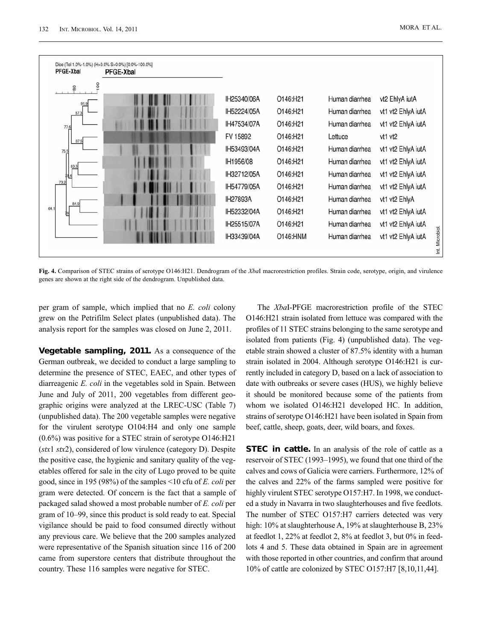| PFGE-Xbal   | <b>PFGE-Xbal</b> |             |          |                |                    |
|-------------|------------------|-------------|----------|----------------|--------------------|
| 8<br>$^{8}$ |                  |             |          |                |                    |
|             |                  | IH25340/06A | O146:H21 | Human diarrhea | vt2 EhlyA iutA     |
| 87.3        |                  | IH52224/05A | O146:H21 | Human diarrhea | vt1 vt2 EhlyA iutA |
| 77.6        |                  | IH47534/07A | O146:H21 | Human diarrhea | vt1 vt2 EhlyA iutA |
| 87.5        |                  | FV 15892    | O146:H21 | Lettuce        | vt1 vt2            |
| 75.5        |                  | IH53493/04A | O146:H21 | Human diarrhea | vt1 vt2 EhlyA iutA |
| 83.3        |                  | IH1956/08   | O146:H21 | Human diarrhea | vt1 vt2 EhlyA iutA |
| 相4          |                  | IH32712/05A | O146:H21 | Human diarrhea | vt1 vt2 EhlyA iutA |
| 73.2        |                  | IH54779/05A | O146:H21 | Human diarrhea | vt1 vt2 EhlyA iutA |
| 84.9        |                  | IH27893A    | O146:H21 | Human diarrhea | vt1 vt2 EhlyA      |
| 16          |                  | IH52332/04A | O146:H21 | Human diarrhea | vt1 vt2 EhlyA iutA |
|             |                  | IH25515/07A | O146:H21 | Human diarrhea | vt1 vt2 EhlyA iutA |
|             |                  | IH33439/04A | O146:HNM | Human diarrhea | vt1 vt2 EhlyA iutA |

**Fig. 4.** Comparison of STEC strains of serotype O146:H21. Dendrogram of the *Xba*I macrorestriction profiles. Strain code, serotype, origin, and virulence genes are shown at the right side of the dendrogram. Unpublished data.

per gram of sample, which implied that no *E. coli* colony grew on the Petrifilm Select plates (unpublished data). The analysis report for the samples was closed on June 2, 2011.

**Vegetable sampling, 2011.** As a consequence of the German outbreak, we decided to conduct a large sampling to determine the presence of STEC, EAEC, and other types of diarreagenic *E. coli* in the vegetables sold in Spain. Between June and July of 2011, 200 vegetables from different geographic origins were analyzed at the LREC-USC (Table 7) (unpublished data). The 200 vegetable samples were negative for the virulent serotype O104:H4 and only one sample (0.6%) was positive for a STEC strain of serotype O146:H21 (*stx*1 *stx*2), considered of low virulence (category D). Despite the positive case, the hygienic and sanitary quality of the vegetables offered for sale in the city of Lugo proved to be quite good, since in 195 (98%) of the samples <10 cfu of *E. coli* per gram were detected. Of concern is the fact that a sample of packaged salad showed a most probable number of *E. coli* per gram of 10–99, since this product is sold ready to eat. Special vigilance should be paid to food consumed directly without any previous care. We believe that the 200 samples analyzed were representative of the Spanish situation since 116 of 200 came from superstore centers that distribute throughout the country. These 116 samples were negative for STEC.

The *Xba*I-PFGE macrorestriction profile of the STEC O146:H21 strain isolated from lettuce was compared with the profiles of 11 STEC strains belonging to the same serotype and isolated from patients (Fig. 4) (unpublished data). The vegetable strain showed a cluster of 87.5% identity with a human strain isolated in 2004. Although serotype O146:H21 is currently included in category D, based on a lack of association to date with outbreaks or severe cases (HUS), we highly believe it should be monitored because some of the patients from whom we isolated O146:H21 developed HC. In addition, strains of serotype O146:H21 have been isolated in Spain from beef, cattle, sheep, goats, deer, wild boars, and foxes.

**STEC in cattle.** In an analysis of the role of cattle as a reservoir of STEC (1993–1995), we found that one third of the calves and cows of Galicia were carriers. Furthermore, 12% of the calves and 22% of the farms sampled were positive for highly virulent STEC serotype O157:H7. In 1998, we conducted a study in Navarra in two slaughterhouses and five feedlots. The number of STEC O157:H7 carriers detected was very high: 10% at slaughterhouse A, 19% at slaughterhouse B, 23% at feedlot 1, 22% at feedlot 2, 8% at feedlot 3, but 0% in feedlots 4 and 5. These data obtained in Spain are in agreement with those reported in other countries, and confirm that around 10% of cattle are colonized by STEC O157:H7 [8,10,11,44].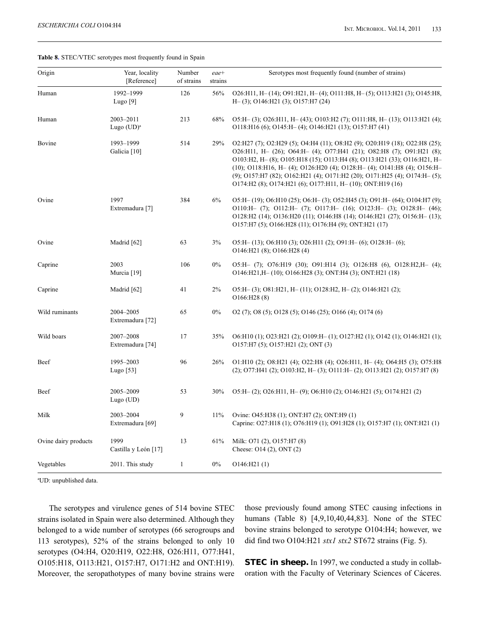| Origin               | Year, locality<br>[Reference] | Number<br>of strains | eae+<br>strains | Serotypes most frequently found (number of strains)                                                                                                                                                                                                                                                                                                                                                                                                          |
|----------------------|-------------------------------|----------------------|-----------------|--------------------------------------------------------------------------------------------------------------------------------------------------------------------------------------------------------------------------------------------------------------------------------------------------------------------------------------------------------------------------------------------------------------------------------------------------------------|
| Human                | 1992-1999<br>Lugo $[9]$       | 126                  | 56%             | $O26:H11, H-(14); O91:H21, H-(4); O111:H8, H-(5); O113:H21 (3); O145:H8,$<br>$H-(3)$ ; O146:H21 (3); O157:H7 (24)                                                                                                                                                                                                                                                                                                                                            |
| Human                | 2003-2011<br>Lugo $(UD)^a$    | 213                  | 68%             | O5:H-(3); O26:H11, H-(43); O103:H2(7); O111:H8, H-(13); O113:H21(4);<br>O118:H16 (6); O145:H- (4); O146:H21 (13); O157:H7 (41)                                                                                                                                                                                                                                                                                                                               |
| Bovine               | 1993-1999<br>Galicia [10]     | 514                  | 29%             | O2:H27 (7); O2:H29 (5); O4:H4 (11); O8:H2 (9); O20:H19 (18); O22:H8 (25);<br>O26:H11, H- $(26)$ ; O64:H- $(4)$ ; O77:H41 $(21)$ ; O82:H8 $(7)$ ; O91:H21 $(8)$ ;<br>O103:H2, H-(8); O105:H18 (15); O113:H4 (8); O113:H21 (33); O116:H21, H-<br>(10); O118:H16, H-(4); O126:H20(4); O128:H-(4); O141:H8(4); O156:H-<br>(9); O157:H7 (82); O162:H21 (4); O171:H2 (20); O171:H25 (4); O174:H- (5);<br>O174:H2 (8); O174:H21 (6); O177:H11, H-(10); ONT:H19 (16) |
| Ovine                | 1997<br>Extremadura [7]       | 384                  | 6%              | O5:H-(19); O6:H10(25); O6:H-(3); O52:H45(3); O91:H-(64); O104:H7(9);<br>O110:H- $(7)$ ; O112:H- $(7)$ ; O117:H- $(16)$ ; O123:H- $(3)$ ; O128:H- $(46)$ ;<br>O128:H2 (14); O136:H20 (11); O146:H8 (14); O146:H21 (27); O156:H- (13);<br>O157:H7 (5); O166:H28 (11); O176:H4 (9); ONT:H21 (17)                                                                                                                                                                |
| Ovine                | Madrid [62]                   | 63                   | 3%              | O5:H- $(13)$ ; O6:H10 $(3)$ ; O26:H11 $(2)$ ; O91:H- $(6)$ ; O128:H- $(6)$ ;<br>O146:H21 (8); O166:H28 (4)                                                                                                                                                                                                                                                                                                                                                   |
| Caprine              | 2003<br>Murcia [19]           | 106                  | $0\%$           | O5:H- (7); O76:H19 (30); O91:H14 (3); O126:H8 (6), O128:H2,H- (4);<br>O146:H21,H-(10); O166:H28(3); ONT:H4(3); ONT:H21(18)                                                                                                                                                                                                                                                                                                                                   |
| Caprine              | Madrid [62]                   | 41                   | $2\%$           | $O5:H-(3)$ ; $O81:H21$ , $H-(11)$ ; $O128:H2$ , $H-(2)$ ; $O146:H21$ (2);<br>$O166:$ H28 $(8)$                                                                                                                                                                                                                                                                                                                                                               |
| Wild ruminants       | 2004-2005<br>Extremadura [72] | 65                   | 0%              | O2 (7); O8 (5); O128 (5); O146 (25); O166 (4); O174 (6)                                                                                                                                                                                                                                                                                                                                                                                                      |
| Wild boars           | 2007-2008<br>Extremadura [74] | 17                   | 35%             | O6:H10 (1); O23:H21 (2); O109:H-(1); O127:H2 (1); O142 (1); O146:H21 (1);<br>O157:H7 (5); O157:H21 (2); ONT (3)                                                                                                                                                                                                                                                                                                                                              |
| Beef                 | 1995-2003<br>Lugo [53]        | 96                   | 26%             | O1:H10 (2); O8:H21 (4); O22:H8 (4); O26:H11, H- (4); O64:H5 (3); O75:H8<br>$(2)$ ; O77:H41 $(2)$ ; O103:H2, H- $(3)$ ; O111:H- $(2)$ ; O113:H21 $(2)$ ; O157:H7 $(8)$                                                                                                                                                                                                                                                                                        |
| Beef                 | 2005-2009<br>Lugo (UD)        | 53                   | 30%             | O5:H-(2); O26:H11, H-(9); O6:H10(2); O146:H21(5); O174:H21(2)                                                                                                                                                                                                                                                                                                                                                                                                |
| Milk                 | 2003-2004<br>Extremadura [69] | 9                    | 11%             | Ovine: O45:H38 (1); ONT:H7 (2); ONT:H9 (1)<br>Caprine: O27:H18 (1); O76:H19 (1); O91:H28 (1); O157:H7 (1); ONT:H21 (1)                                                                                                                                                                                                                                                                                                                                       |
| Ovine dairy products | 1999<br>Castilla y León [17]  | 13                   | 61%             | Milk: O71 (2), O157:H7 (8)<br>Cheese: O14 (2), ONT (2)                                                                                                                                                                                                                                                                                                                                                                                                       |
| Vegetables           | 2011. This study              | $\mathbf{1}$         | $0\%$           | O146: H21(1)                                                                                                                                                                                                                                                                                                                                                                                                                                                 |

**Table 8.** STEC/VTEC serotypes most frequently found in Spain

a UD: unpublished data.

The serotypes and virulence genes of 514 bovine STEC strains isolated in Spain were also determined. Although they belonged to a wide number of serotypes (66 serogroups and 113 serotypes), 52% of the strains belonged to only 10 serotypes (O4:H4, O20:H19, O22:H8, O26:H11, O77:H41, O105:H18, O113:H21, O157:H7, O171:H2 and ONT:H19). Moreover, the seropathotypes of many bovine strains were those previously found among STEC causing infections in humans (Table 8) [4,9,10,40,44,83]. None of the STEC bovine strains belonged to serotype O104:H4; however, we did find two O104:H21 *stx1 stx2* ST672 strains (Fig. 5).

**STEC in sheep.** In 1997, we conducted a study in collaboration with the Faculty of Veterinary Sciences of Cáceres.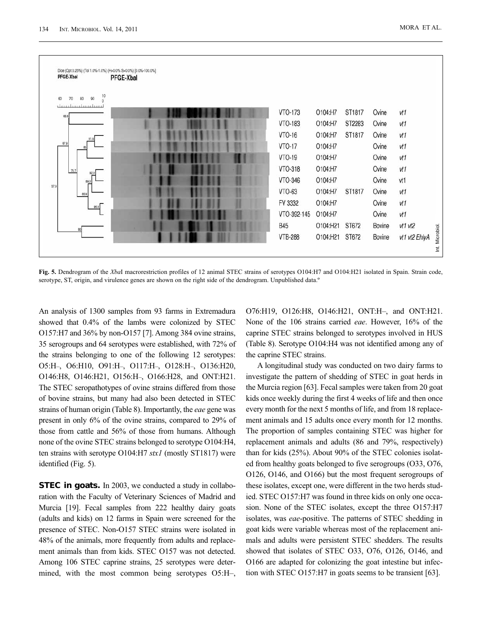

**Fig. 5.** Dendrogram of the *Xba*I macrorestriction profiles of 12 animal STEC strains of serotypes O104:H7 and O104:H21 isolated in Spain. Strain code, serotype, ST, origin, and virulence genes are shown on the right side of the dendrogram. Unpublished data.<sup>o</sup>

An analysis of 1300 samples from 93 farms in Extremadura showed that 0.4% of the lambs were colonized by STEC O157:H7 and 36% by non-O157 [7]. Among 384 ovine strains, 35 serogroups and 64 serotypes were established, with 72% of the strains belonging to one of the following 12 serotypes: O5:H–, O6:H10, O91:H–, O117:H–, O128:H–, O136:H20, O146:H8, O146:H21, O156:H–, O166:H28, and ONT:H21. The STEC seropathotypes of ovine strains differed from those of bovine strains, but many had also been detected in STEC strains of human origin (Table 8). Importantly, the *eae* gene was present in only 6% of the ovine strains, compared to 29% of those from cattle and 56% of those from humans. Although none of the ovine STEC strains belonged to serotype O104:H4, ten strains with serotype O104:H7 *stx1* (mostly ST1817) were identified (Fig. 5).

**STEC in goats.** In 2003, we conducted a study in collaboration with the Faculty of Veterinary Sciences of Madrid and Murcia [19]. Fecal samples from 222 healthy dairy goats (adults and kids) on 12 farms in Spain were screened for the presence of STEC. Non-O157 STEC strains were isolated in 48% of the animals, more frequently from adults and replacement animals than from kids. STEC O157 was not detected. Among 106 STEC caprine strains, 25 serotypes were determined, with the most common being serotypes O5:H–,

O76:H19, O126:H8, O146:H21, ONT:H–, and ONT:H21. None of the 106 strains carried *eae*. However, 16% of the caprine STEC strains belonged to serotypes involved in HUS (Table 8). Serotype O104:H4 was not identified among any of the caprine STEC strains.

A longitudinal study was conducted on two dairy farms to investigate the pattern of shedding of STEC in goat herds in the Murcia region [63]. Fecal samples were taken from 20 goat kids once weekly during the first 4 weeks of life and then once every month for the next 5 months of life, and from 18 replacement animals and 15 adults once every month for 12 months. The proportion of samples containing STEC was higher for replacement animals and adults (86 and 79%, respectively) than for kids (25%). About 90% of the STEC colonies isolated from healthy goats belonged to five serogroups (O33, O76, O126, O146, and O166) but the most frequent serogroups of these isolates, except one, were different in the two herds studied. STEC O157:H7 was found in three kids on only one occasion. None of the STEC isolates, except the three O157:H7 isolates, was *eae*-positive. The patterns of STEC shedding in goat kids were variable whereas most of the replacement animals and adults were persistent STEC shedders. The results showed that isolates of STEC O33, O76, O126, O146, and O166 are adapted for colonizing the goat intestine but infection with STEC O157:H7 in goats seems to be transient [63].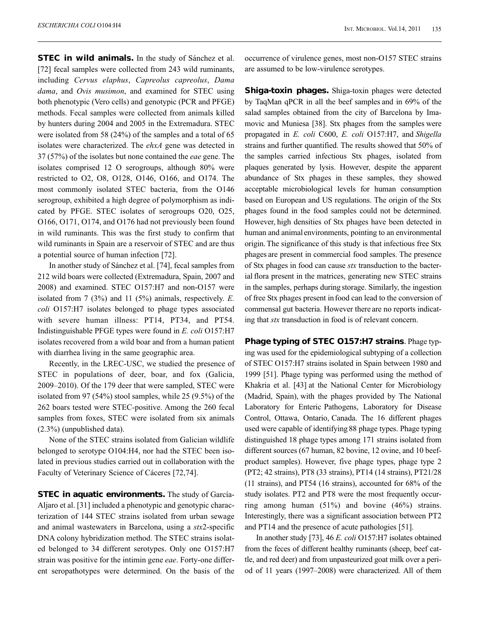**STEC in wild animals.** In the study of Sánchez et al. [72] fecal samples were collected from 243 wild ruminants, including *Cervus elaphus*, *Capreolus capreolus*, *Dama dama*, and *Ovis musimon*, and examined for STEC using both phenotypic (Vero cells) and genotypic (PCR and PFGE) methods. Fecal samples were collected from animals killed by hunters during 2004 and 2005 in the Extremadura. STEC were isolated from 58 (24%) of the samples and a total of 65 isolates were characterized. The *ehxA* gene was detected in 37 (57%) of the isolates but none contained the *eae* gene. The isolates comprised 12 O serogroups, although 80% were restricted to O2, O8, O128, O146, O166, and O174. The most commonly isolated STEC bacteria, from the O146 serogroup, exhibited a high degree of polymorphism as indicated by PFGE. STEC isolates of serogroups O20, O25, O166, O171, O174, and O176 had not previously been found in wild ruminants. This was the first study to confirm that wild ruminants in Spain are a reservoir of STEC and are thus a potential source of human infection [72].

In another study of Sánchez et al. [74], fecal samples from 212 wild boars were collected (Extremadura, Spain, 2007 and 2008) and examined. STEC O157:H7 and non-O157 were isolated from 7 (3%) and 11 (5%) animals, respectively. *E. coli* O157:H7 isolates belonged to phage types associated with severe human illness: PT14, PT34, and PT54. Indistinguishable PFGE types were found in *E. coli* O157:H7 isolates recovered from a wild boar and from a human patient with diarrhea living in the same geographic area.

Recently, in the LREC-USC, we studied the presence of STEC in populations of deer, boar, and fox (Galicia, 2009–2010). Of the 179 deer that were sampled, STEC were isolated from 97 (54%) stool samples, while 25 (9.5%) of the 262 boars tested were STEC-positive. Among the 260 fecal samples from foxes, STEC were isolated from six animals (2.3%) (unpublished data).

None of the STEC strains isolated from Galician wildlife belonged to serotype O104:H4, nor had the STEC been isolated in previous studies carried out in collaboration with the Faculty of Veterinary Science of Cáceres [72,74].

**STEC in aquatic environments.** The study of García-Aljaro et al. [31] included a phenotypic and genotypic characterization of 144 STEC strains isolated from urban sewage and animal wastewaters in Barcelona, using a *stx*2-specific DNA colony hybridization method. The STEC strains isolated belonged to 34 different serotypes. Only one O157:H7 strain was positive for the intimin gene *eae*. Forty-one different seropathotypes were determined. On the basis of the occurrence of virulence genes, most non-O157 STEC strains are assumed to be low-virulence serotypes.

**Shiga-toxin phages.** Shiga-toxin phages were detected by TaqMan qPCR in all the beef samples and in 69% of the salad samples obtained from the city of Barcelona by Imamovic and Muniesa [38]. Stx phages from the samples were propagated in *E. coli* C600, *E. coli* O157:H7, and *Shigella* strains and further quantified. The results showed that 50% of the samples carried infectious Stx phages, isolated from plaques generated by lysis. However, despite the apparent abundance of Stx phages in these samples, they showed acceptable microbiological levels for human consumption based on European and US regulations. The origin of the Stx phages found in the food samples could not be determined. However, high densities of Stx phages have been detected in human and animalenvironments, pointing to an environmental origin. The significance of this study is that infectious free Stx phages are present in commercial food samples. The presence of Stx phages in food can cause *stx* transduction to the bacterial flora present in the matrices, generating new STEC strains in the samples, perhaps during storage. Similarly, the ingestion of free Stx phages present in food can lead to the conversion of commensal gut bacteria. However there are no reports indicating that *stx* transduction in food is of relevant concern.

**Phage typing of STEC O157:H7 strains**. Phage typing was used for the epidemiological subtyping of a collection of STEC O157:H7 strains isolated in Spain between 1980 and 1999 [51]. Phage typing was performed using the method of Khakria et al. [43] at the National Center for Microbiology (Madrid, Spain), with the phages provided by The National Laboratory for Enteric Pathogens, Laboratory for Disease Control, Ottawa, Ontario, Canada. The 16 different phages used were capable of identifying 88 phage types. Phage typing distinguished 18 phage types among 171 strains isolated from different sources (67 human, 82 bovine, 12 ovine, and 10 beefproduct samples). However, five phage types, phage type 2 (PT2; 42 strains), PT8 (33 strains), PT14 (14 strains), PT21/28 (11 strains), and PT54 (16 strains), accounted for 68% of the study isolates. PT2 and PT8 were the most frequently occurring among human (51%) and bovine (46%) strains. Interestingly, there was a significant association between PT2 and PT14 and the presence of acute pathologies [51].

In another study [73], 46 *E. coli* O157:H7 isolates obtained from the feces of different healthy ruminants (sheep, beef cattle, and red deer) and from unpasteurized goat milk over a period of 11 years (1997–2008) were characterized. All of them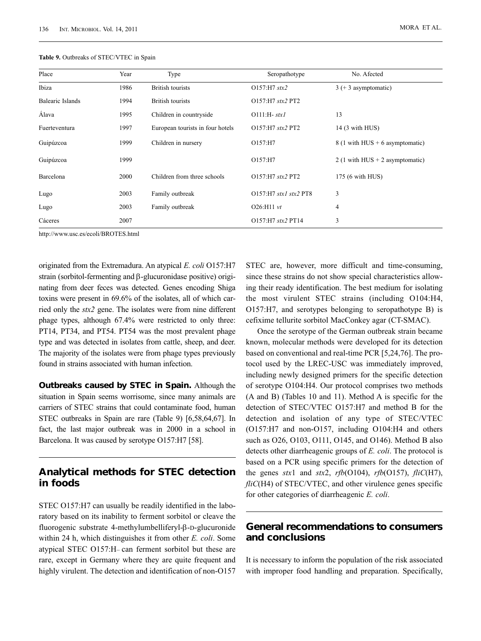| Place                   | Year | Type                             | Seropathotype            | No. Afected                                      |
|-------------------------|------|----------------------------------|--------------------------|--------------------------------------------------|
| Ibiza                   | 1986 | <b>British tourists</b>          | $O157:$ H7 stx2          | $3 (+ 3$ asymptomatic)                           |
| <b>Balearic Islands</b> | 1994 | <b>British tourists</b>          | O157:H7 stx2 PT2         |                                                  |
| Álava                   | 1995 | Children in countryside          | $O111:H$ - stxl          | 13                                               |
| Fuerteventura           | 1997 | European tourists in four hotels | O157:H7 stx2 PT2         | 14 (3 with HUS)                                  |
| Guipúzcoa               | 1999 | Children in nursery              | O157:H7                  | $8(1 \text{ with HUS} + 6 \text{ asymptomatic})$ |
| Guipúzcoa               | 1999 |                                  | O157:H7                  | 2 (1 with HUS $+$ 2 asymptomatic)                |
| Barcelona               | 2000 | Children from three schools      | O157:H7 stx2 PT2         | 175 (6 with HUS)                                 |
| Lugo                    | 2003 | Family outbreak                  | $O157:$ H7 stx1 stx2 PT8 | 3                                                |
| Lugo                    | 2003 | Family outbreak                  | $O26: H11 \, vt$         | 4                                                |
| Cáceres                 | 2007 |                                  | O157:H7 stx2 PT14        | 3                                                |

**Table 9.** Outbreaks of STEC/VTEC in Spain

http://www.usc.es/ecoli/BROTES.html

originated from the Extremadura. An atypical *E. coli* O157:H7 strain (sorbitol-fermenting and β-glucuronidase positive) originating from deer feces was detected. Genes encoding Shiga toxins were present in 69.6% of the isolates, all of which carried only the *stx2* gene. The isolates were from nine different phage types, although 67.4% were restricted to only three: PT14, PT34, and PT54. PT54 was the most prevalent phage type and was detected in isolates from cattle, sheep, and deer. The majority of the isolates were from phage types previously found in strains associated with human infection.

**Outbreaks caused by STEC in Spain.** Although the situation in Spain seems worrisome, since many animals are carriers of STEC strains that could contaminate food, human STEC outbreaks in Spain are rare (Table 9) [6,58,64,67]. In fact, the last major outbreak was in 2000 in a school in Barcelona. It was caused by serotype O157:H7 [58].

### **Analytical methods for STEC detection in foods**

STEC O157:H7 can usually be readily identified in the laboratory based on its inability to ferment sorbitol or cleave the fluorogenic substrate 4-methylumbelliferyl-β-D-glucuronide within 24 h, which distinguishes it from other *E. coli*. Some atypical STEC O157:H– can ferment sorbitol but these are rare, except in Germany where they are quite frequent and highly virulent. The detection and identification of non-O157

STEC are, however, more difficult and time-consuming, since these strains do not show special characteristics allowing their ready identification. The best medium for isolating the most virulent STEC strains (including O104:H4, O157:H7, and serotypes belonging to seropathotype B) is cefixime tellurite sorbitol MacConkey agar (CT-SMAC).

Once the serotype of the German outbreak strain became known, molecular methods were developed for its detection based on conventional and real-time PCR [5,24,76]. The protocol used by the LREC-USC was immediately improved, including newly designed primers for the specific detection of serotype O104:H4. Our protocol comprises two methods (A and B) (Tables 10 and 11). Method A is specific for the detection of STEC/VTEC O157:H7 and method B for the detection and isolation of any type of STEC/VTEC (O157:H7 and non-O157, including O104:H4 and others such as O26, O103, O111, O145, and O146). Method B also detects other diarrheagenic groups of *E. coli*. The protocol is based on a PCR using specific primers for the detection of the genes *stx*1 and *stx*2, *rfb*(O104), *rfb*(O157), *fliC*(H7), *fliC*(H4) of STEC/VTEC, and other virulence genes specific for other categories of diarrheagenic *E. coli*.

#### **General recommendations to consumers and conclusions**

It is necessary to inform the population of the risk associated with improper food handling and preparation. Specifically,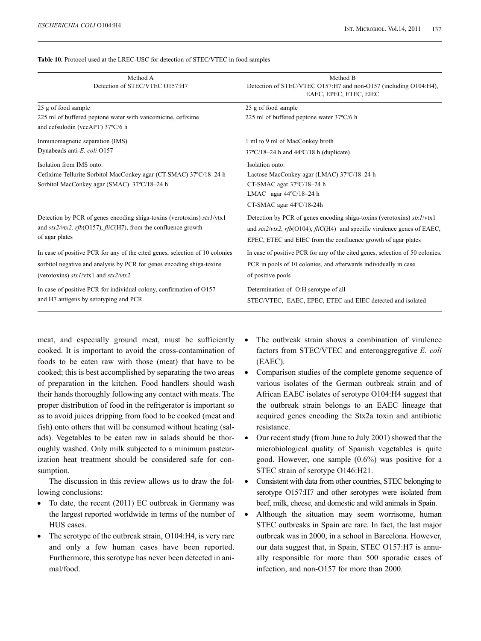| <b>Table 10.</b> Protocol used at the LREC-USC for detection of STEC/VTEC in food samples |  |
|-------------------------------------------------------------------------------------------|--|
|-------------------------------------------------------------------------------------------|--|

| Method A<br>Detection of STEC/VTEC O157:H7                                                                                                                                                        | Method B<br>Detection of STEC/VTEC O157:H7 and non-O157 (including O104:H4),<br>EAEC, EPEC, ETEC, EIEC                                                                                                                           |
|---------------------------------------------------------------------------------------------------------------------------------------------------------------------------------------------------|----------------------------------------------------------------------------------------------------------------------------------------------------------------------------------------------------------------------------------|
| 25 g of food sample                                                                                                                                                                               | 25 g of food sample                                                                                                                                                                                                              |
| 225 ml of buffered peptone water with vancomicine, cefixime<br>and cefsulodin (vccAPT) 37°C/6 h                                                                                                   | 225 ml of buffered peptone water 37°C/6 h                                                                                                                                                                                        |
| Inmunomagnetic separation (IMS)                                                                                                                                                                   | 1 ml to 9 ml of MacConkey broth                                                                                                                                                                                                  |
| Dynabeads anti-E. coli O157                                                                                                                                                                       | $37^{\circ}$ C/18-24 h and $44^{\circ}$ C/18 h (duplicate)                                                                                                                                                                       |
| Isolation from IMS onto:<br>Cefixime Tellurite Sorbitol MacConkey agar (CT-SMAC) 37°C/18-24 h<br>Sorbitol MacConkey agar (SMAC) 37°C/18-24 h                                                      | Isolation onto:<br>Lactose MacConkey agar (LMAC) 37°C/18-24 h<br>CT-SMAC agar 37°C/18-24 h<br>LMAC agar 44°C/18-24 h<br>CT-SMAC agar 44°C/18-24h                                                                                 |
| Detection by PCR of genes encoding shiga-toxins (verotoxins) $stx1/vtx1$<br>and $\frac{str2}{vtx2}$ , rfb(O157), fliC(H7), from the confluence growth<br>of agar plates                           | Detection by PCR of genes encoding shiga-toxins (verotoxins) $stx1/vtx1$<br>and $\frac{str2}{vtx2}$ , rfb(O104), fliC(H4) and specific virulence genes of EAEC,<br>EPEC, ETEC and EIEC from the confluence growth of agar plates |
| In case of positive PCR for any of the cited genes, selection of 10 colonies<br>sorbitol negative and analysis by PCR for genes encoding shiga-toxins<br>(verotoxins) $stx1/vtx1$ and $stx2/vtx2$ | In case of positive PCR for any of the cited genes, selection of 50 colonies.<br>PCR in pools of 10 colonies, and afterwards individually in case<br>of positive pools                                                           |
| In case of positive PCR for individual colony, confirmation of O157<br>and H7 antigens by serotyping and PCR.                                                                                     | Determination of O:H serotype of all<br>STEC/VTEC, EAEC, EPEC, ETEC and EIEC detected and isolated                                                                                                                               |

meat, and especially ground meat, must be sufficiently cooked. It is important to avoid the cross-contamination of foods to be eaten raw with those (meat) that have to be cooked; this is best accomplished by separating the two areas of preparation in the kitchen. Food handlers should wash their hands thoroughly following any contact with meats. The proper distribution of food in the refrigerator is important so as to avoid juices dripping from food to be cooked (meat and fish) onto others that will be consumed without heating (salads). Vegetables to be eaten raw in salads should be thoroughly washed. Only milk subjected to a minimum pasteurization heat treatment should be considered safe for consumption.

The discussion in this review allows us to draw the following conclusions:

- To date, the recent (2011) EC outbreak in Germany was the largest reported worldwide in terms of the number of HUS cases.
- The serotype of the outbreak strain, O104:H4, is very rare and only a few human cases have been reported. Furthermore, this serotype has never been detected in animal/food.
- The outbreak strain shows a combination of virulence factors from STEC/VTEC and enteroaggregative *E. coli* (EAEC).
- Comparison studies of the complete genome sequence of various isolates of the German outbreak strain and of African EAEC isolates of serotype O104:H4 suggest that the outbreak strain belongs to an EAEC lineage that acquired genes encoding the Stx2a toxin and antibiotic resistance.
- Our recent study (from June to July 2001) showed that the microbiological quality of Spanish vegetables is quite good. However, one sample (0.6%) was positive for a STEC strain of serotype O146:H21.
- Consistent with data from other countries, STEC belonging to serotype O157:H7 and other serotypes were isolated from beef, milk, cheese, and domestic and wild animals in Spain.
- Although the situation may seem worrisome, human STEC outbreaks in Spain are rare. In fact, the last major outbreak was in 2000, in a school in Barcelona. However, our data suggest that, in Spain, STEC O157:H7 is annually responsible for more than 500 sporadic cases of infection, and non-O157 for more than 2000.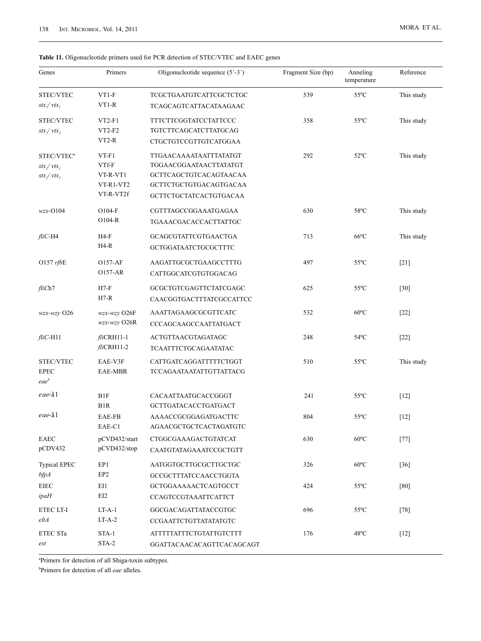#### **Table 11.** Oligonucleotide primers used for PCR detection of STEC/VTEC and EAEC genes

| Genes                  | Primers                          | Oligonucleotide sequence $(5' - 3')$        | Fragment Size (bp) | Anneling<br>temperature | Reference  |
|------------------------|----------------------------------|---------------------------------------------|--------------------|-------------------------|------------|
| STEC/VTEC              | $VT1-F$                          | TCGCTGAATGTCATTCGCTCTGC                     | 539                | $55^{\circ}$ C          | This study |
| $stx_1/vtx_1$          | $VT1-R$                          | TCAGCAGTCATTACATAAGAAC                      |                    |                         |            |
| STEC/VTEC              | $VT2-F1$                         | <b>TTTCTTCGGTATCCTATTCCC</b>                | 358                | $55^{\circ}$ C          | This study |
| stx / vtx              | $VT2-F2$                         | TGTCTTCAGCATCTTATGCAG                       |                    |                         |            |
|                        | $VT2-R$                          | CTGCTGTCCGTTGTCATGGAA                       |                    |                         |            |
| STEC/VTEC <sup>a</sup> | $VT-F1$                          | TTGAACAAAATAATTTATATGT                      | 292                | $52^{\circ}$ C          | This study |
| $stx_1/vtx_1$          | VTf-F                            | TGGAACGGAATAACTTATATGT                      |                    |                         |            |
| stx / vtx              | VT-R-VT1                         | GCTTCAGCTGTCACAGTAACAA                      |                    |                         |            |
|                        | VT-R1-VT2                        | GCTTCTGCTGTGACAGTGACAA                      |                    |                         |            |
|                        | VT-R-VT2f                        | GCTTCTGCTATCACTGTGACAA                      |                    |                         |            |
| $wzx-O104$             | $O104-F$                         | CGTTTAGCCGGAAATGAGAA                        | 630                | 58°C                    | This study |
|                        | $O104-R$                         | TGAAACGACACCACTTATTGC                       |                    |                         |            |
| $fliC$ -H4             | H4-F<br>$H4-R$                   | GCAGCGTATTCGTGAACTGA                        | 713                | $66^{\circ}$ C          | This study |
|                        |                                  | GCTGGATAATCTGCGCTTTC                        |                    |                         |            |
| O157 $rfbE$            | <b>O157-AF</b><br>0157-AR        | AAGATTGCGCTGAAGCCTTTG                       | 497                | $55^{\circ}$ C          | $[21]$     |
|                        |                                  | CATTGGCATCGTGTGGACAG                        |                    |                         |            |
| fliCh7                 | $H7-F$                           | GCGCTGTCGAGTTCTATCGAGC                      | 625                | $55^{\circ}$ C          | [30]       |
|                        | $H7-R$                           | CAACGGTGACTTTATCGCCATTCC                    |                    |                         |            |
| $wzx-wzy$ O26          | $wzx-wzy$ O26F<br>$wzx-wzy$ O26R | AAATTAGAAGCGCGTTCATC                        | 532                | $60^{\circ}$ C          | $[22]$     |
|                        |                                  | CCCAGCAAGCCAATTATGACT                       |                    |                         |            |
| $fliC$ -H11            | $fli$ CRH $11-1$<br>$fliCRH11-2$ | ACTGTTAACGTAGATAGC                          | 248                | $54^{\circ}$ C          | $[22]$     |
|                        |                                  | TCAATTTCTGCAGAATATAC                        |                    |                         |            |
| STEC/VTEC              | EAE-V3F                          | CATTGATCAGGATTTTTCTGGT                      | 510                | $55^{\circ}$ C          | This study |
| <b>EPEC</b>            | EAE-MBR                          | TCCAGAATAATATTGTTATTACG                     |                    |                         |            |
| eae <sup>b</sup>       |                                  |                                             |                    |                         |            |
| eae-âl                 | B1F<br>B <sub>1</sub> R          | CACAATTAATGCACCGGGT<br>GCTTGATACACCTGATGACT | 241                | $55^{\circ}$ C          | $[12]$     |
| eae-ã1                 | EAE-FB                           | AAAACCGCGGAGATGACTTC                        | 804                | $55^{\circ}$ C          | $[12]$     |
|                        | EAE-C1                           | AGAACGCTGCTCACTAGATGTC                      |                    |                         |            |
| EAEC                   | pCVD432/start                    | CTGGCGAAAGACTGTATCAT                        | 630                | $60^{\circ}$ C          | $[77]$     |
| pCDV432                | pCVD432/stop                     | CAATGTATAGAAATCCGCTGTT                      |                    |                         |            |
| <b>Typical EPEC</b>    | EP1                              | AATGGTGCTTGCGCTTGCTGC                       | 326                | $60^{\circ}$ C          | $[36]$     |
| $b$ fp $A$             | EP <sub>2</sub>                  | GCCGCTTTATCCAACCTGGTA                       |                    |                         |            |
| ${\rm EIEC}$           | EI1                              | GCTGGAAAAACTCAGTGCCT                        | 424                | $55^{\circ}$ C          | [80]       |
| ipaH                   | EI2                              | <b>CCAGTCCGTAAATTCATTCT</b>                 |                    |                         |            |
| ETEC LT-I              | $LT-A-1$                         | GGCGACAGATTATACCGTGC                        | 696                | $55^{\circ}$ C          | $[78]$     |
| eltA                   | $LT-A-2$                         | CCGAATTCTGTTATATATGTC                       |                    |                         |            |
| ETEC STa               | STA-1                            | <b>ATTTTTATTTCTGTATTGTCTTT</b>              | 176                | $48^{\circ}$ C          | $[12]$     |
| est                    | STA-2                            | GGATTACAACACAGTTCACAGCAGT                   |                    |                         |            |

a Primers for detection of all Shiga-toxin subtypes.

b Primers for detection of all *eae* alleles.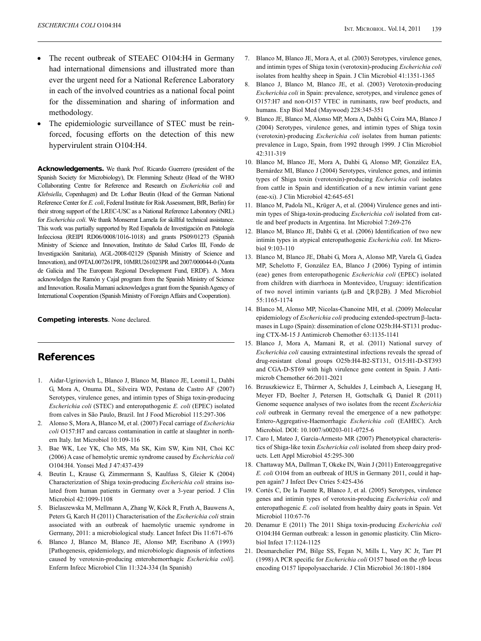- The recent outbreak of STEAEC O104:H4 in Germany had international dimensions and illustrated more than ever the urgent need for a National Reference Laboratory in each of the involved countries as a national focal point for the dissemination and sharing of information and methodology.
- The epidemiologic surveillance of STEC must be reinforced, focusing efforts on the detection of this new hypervirulent strain O104:H4.

**Acknowledgements.** We thank Prof. Ricardo Guerrero (president of the Spanish Society for Microbiology), Dr. Flemming Scheutz (Head of the WHO Collaborating Centre for Reference and Research on *Escherichia coli* and *Klebsiella*, Copenhagen) and Dr. Lothar Beutin (Head of the German National Reference Center for *E. coli*, Federal Institute for Risk Assessment, BfR, Berlin) for their strong support of the LREC-USC as a National Reference Laboratory (NRL) for *Escherichia coli*. We thank Monserrat Lamela for skillful technical assistance. This work was partially supported by Red Española de Investigación en Patología Infecciosa (REIPI RD06/0008/1016-1018) and grants PS09/01273 (Spanish Ministry of Science and Innovation, Instituto de Salud Carlos III, Fondo de Investigación Sanitaria), AGL-2008-02129 (Spanish Ministry of Science and Innovation), and 09TAL007261PR, 10MRU261023PR and 2007/000044-0 (Xunta de Galicia and The European Regional Development Fund, ERDF). A. Mora acknowledges the Ramón y Cajal program from the Spanish Ministry of Science and Innovation. Rosalia Mamani acknowledges a grant from the Spanish Agency of International Cooperation (Spanish Ministry of Foreign Affairs and Cooperation).

**Competing interests**. None declared.

### **References**

- 1. Aidar-Ugrinovich L, Blanco J, Blanco M, Blanco JE, Leomil L, Dahbi G, Mora A, Onuma DL, Silveira WD, Pestana de Castro AF (2007) Serotypes, virulence genes, and intimin types of Shiga toxin-producing *Escherichia coli* (STEC) and enteropathogenic *E. coli* (EPEC) isolated from calves in São Paulo, Brazil. Int J Food Microbiol 115:297-306
- 2. Alonso S, Mora A, Blanco M, et al. (2007) Fecal carriage of *Escherichia coli* O157:H7 and carcass contamination in cattle at slaughter in northern Italy. Int Microbiol 10:109-116
- 3. Bae WK, Lee YK, Cho MS, Ma SK, Kim SW, Kim NH, Choi KC (2006) A case of hemolytic uremic syndrome caused by *Escherichia coli* O104:H4. Yonsei Med J 47:437-439
- 4. Beutin L, Krause G, Zimmermann S, Kaulfuss S, Gleier K (2004) Characterization of Shiga toxin-producing *Escherichia coli* strains isolated from human patients in Germany over a 3-year period. J Clin Microbiol 42:1099-1108
- 5. Bielaszewska M, Mellmann A, Zhang W, Köck R, Fruth A, Bauwens A, Peters G, Karch H (2011) Characterisation of the *Escherichia coli* strain associated with an outbreak of haemolytic uraemic syndrome in Germany, 2011: a microbiological study. Lancet Infect Dis 11:671-676
- 6. Blanco J, Blanco M, Blanco JE, Alonso MP, Escribano A (1993) [Pathogenesis, epidemiology, and microbiologic diagnosis of infections caused by verotoxin-producing enterohemorrhagic *Escherichia coli*]. Enferm Infecc Microbiol Clin 11:324-334 (In Spanish)
- 7. Blanco M, Blanco JE, Mora A, et al. (2003) Serotypes, virulence genes, and intimin types of Shiga toxin (verotoxin)-producing *Escherichia coli* isolates from healthy sheep in Spain. J Clin Microbiol 41:1351-1365
- 8. Blanco J, Blanco M, Blanco JE, et al. (2003) Verotoxin-producing *Escherichia coli* in Spain: prevalence, serotypes, and virulence genes of O157:H7 and non-O157 VTEC in ruminants, raw beef products, and humans. Exp Biol Med (Maywood) 228:345-351
- 9. Blanco JE, Blanco M, Alonso MP, Mora A, Dahbi G, Coira MA, Blanco J (2004) Serotypes, virulence genes, and intimin types of Shiga toxin (verotoxin)-producing *Escherichia coli* isolates from human patients: prevalence in Lugo, Spain, from 1992 through 1999. J Clin Microbiol 42:311-319
- 10. Blanco M, Blanco JE, Mora A, Dahbi G, Alonso MP, González EA, Bernárdez MI, Blanco J (2004) Serotypes, virulence genes, and intimin types of Shiga toxin (verotoxin)-producing *Escherichia coli* isolates from cattle in Spain and identification of a new intimin variant gene (eae-xi). J Clin Microbiol 42:645-651
- 11. Blanco M, Padola NL, Krüger A, et al. (2004) Virulence genes and intimin types of Shiga-toxin-producing *Escherichia coli* isolated from cattle and beef products in Argentina. Int Microbiol 7:269-276
- 12. Blanco M, Blanco JE, Dahbi G, et al. (2006) Identification of two new intimin types in atypical enteropathogenic *Escherichia coli*. Int Microbiol 9:103-110
- 13. Blanco M, Blanco JE, Dhabi G, Mora A, Alonso MP, Varela G, Gadea MP, Schelotto F, González EA, Blanco J (2006) Typing of intimin (eae) genes from enteropathogenic *Escherichia coli* (EPEC) isolated from children with diarrhoea in Montevideo, Uruguay: identification of two novel intimin variants (μB and ξR/β2B). J Med Microbiol 55:1165-1174
- 14. Blanco M, Alonso MP, Nicolas-Chanoine MH, et al. (2009) Molecular epidemiology of *Escherichia coli* producing extended-spectrum β-lactamases in Lugo (Spain): dissemination of clone O25b:H4-ST131 producing CTX-M-15 J Antimicrob Chemother 63:1135-1141
- 15. Blanco J, Mora A, Mamani R, et al. (2011) National survey of *Escherichia coli* causing extraintestinal infections reveals the spread of drug-resistant clonal groups O25b:H4-B2-ST131, O15:H1-D-ST393 and CGA-D-ST69 with high virulence gene content in Spain. J Antimicrob Chemother 66:2011-2021
- 16. Brzuszkiewicz E, Thürmer A, Schuldes J, Leimbach A, Liesegang H, Meyer FD, Boelter J, Petersen H, Gottschalk G, Daniel R (2011) Genome sequence analyses of two isolates from the recent *Escherichia coli* outbreak in Germany reveal the emergence of a new pathotype: Entero-Aggregative-Haemorrhagic *Escherichia coli* (EAHEC). Arch Microbiol. DOI: 10.1007/s00203-011-0725-6
- 17. Caro I, Mateo J, García-Armesto MR (2007) Phenotypical characteristics of Shiga-like toxin *Escherichia coli* isolated from sheep dairy products. Lett Appl Microbiol 45:295-300
- 18. Chattaway MA, Dallman T, Okeke IN, Wain J (2011) Enteroaggregative *E. coli* O104 from an outbreak of HUS in Germany 2011, could it happen again? J Infect Dev Ctries 5:425-436
- 19. Cortés C, De la Fuente R, Blanco J, et al. (2005) Serotypes, virulence genes and intimin types of verotoxin-producing *Escherichia coli* and enteropathogenic *E. coli* isolated from healthy dairy goats in Spain. Vet Microbiol 110:67-76
- 20. Denamur E (2011) The 2011 Shiga toxin-producing *Escherichia coli* O104:H4 German outbreak: a lesson in genomic plasticity. Clin Microbiol Infect 17:1124-1125
- 21. Desmarchelier PM, Bilge SS, Fegan N, Mills L, Vary JC Jr, Tarr PI (1998) A PCR specific for *Escherichia coli* O157 based on the *rfb* locus encoding O157 lipopolysaccharide. J Clin Microbiol 36:1801-1804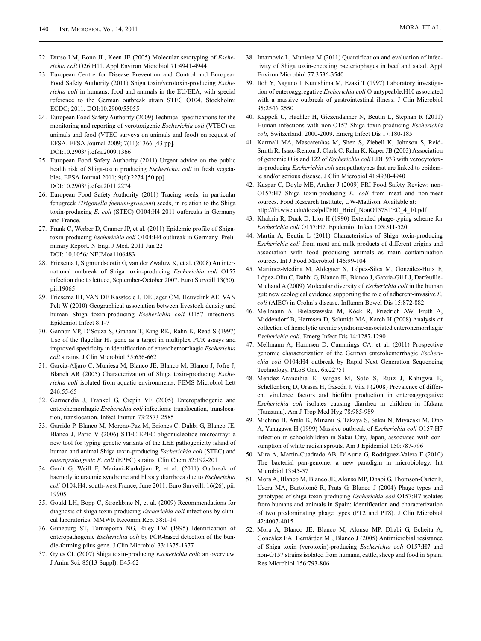- 22. Durso LM, Bono JL, Keen JE (2005) Molecular serotyping of *Escherichia coli* O26:H11. Appl Environ Microbiol 71:4941-4944
- 23. European Centre for Disease Prevention and Control and European Food Safety Authority (2011) Shiga toxin/verotoxin-producing *Escherichia coli* in humans, food and animals in the EU/EEA, with special reference to the German outbreak strain STEC O104. Stockholm: ECDC; 2011. DOI:10.2900/55055
- 24. European Food Safety Authority (2009) Technical specifications for the monitoring and reporting of verotoxigenic *Escherichia coli* (VTEC) on animals and food (VTEC surveys on animals and food) on request of EFSA. EFSA Journal 2009; 7(11):1366 [43 pp]. DOI:10.2903/ j.efsa.2009.1366
- 25. European Food Safety Authority (2011) Urgent advice on the public health risk of Shiga-toxin producing *Escherichia coli* in fresh vegetables. EFSA Journal 2011; 9(6):2274 [50 pp]. DOI:10.2903/ j.efsa.2011.2274
- 26. European Food Safety Authority (2011) Tracing seeds, in particular fenugreek *(Trigonella foenum-graecum*) seeds, in relation to the Shiga toxin-producing *E. coli* (STEC) O104:H4 2011 outbreaks in Germany and France.
- 27. Frank C, Werber D, Cramer JP, et al. (2011) Epidemic profile of Shigatoxin-producing *Escherichia coli* O104:H4 outbreak in Germany–Preliminary Report. N Engl J Med. 2011 Jun 22 DOI: 10.1056/ NEJMoa1106483
- 28. Friesema I, Sigmundsdottir G, van der Zwaluw K, et al. (2008) An international outbreak of Shiga toxin-producing *Escherichia coli* O157 infection due to lettuce, September-October 2007. Euro Surveill 13(50),  $\pi$ ii:19065
- 29. Friesema IH, VAN DE Kassteele J, DE Jager CM, Heuvelink AE, VAN Pelt W (2010) Geographical association between livestock density and human Shiga toxin-producing *Escherichia coli* O157 infections. Epidemiol Infect 8:1-7
- 30. Gannon VP, D'Souza S, Graham T, King RK, Rahn K, Read S (1997) Use of the flagellar H7 gene as a target in multiplex PCR assays and improved specificity in identification of enterohemorrhagic *Escherichia coli* strains. J Clin Microbiol 35:656-662
- 31. García-Aljaro C, Muniesa M, Blanco JE, Blanco M, Blanco J, Jofre J, Blanch AR (2005) Characterization of Shiga toxin-producing *Escherichia coli* isolated from aquatic environments. FEMS Microbiol Lett 246:55-65
- 32. Garmendia J, Frankel G, Crepin VF (2005) Enteropathogenic and enterohemorrhagic *Escherichia coli* infections: translocation, translocation, translocation. Infect Immun 73:2573-2585
- 33. Garrido P, Blanco M, Moreno-Paz M, Briones C, Dahbi G, Blanco JE, Blanco J, Parro V (2006) STEC-EPEC oligonucleotide microarray: a new tool for typing genetic variants of the LEE pathogenicity island of human and animal Shiga toxin-producing *Escherichia coli* (STEC) and *enteropathogenic E. coli* (EPEC) strains. Clin Chem 52:192-201
- 34. Gault G, Weill F, Mariani-Kurkdjian P, et al. (2011) Outbreak of haemolytic uraemic syndrome and bloody diarrhoea due to *Escherichia coli* O104:H4, south-west France, June 2011. Euro Surveill. 16(26), pii: 19905
- 35. Gould LH, Bopp C, Strockbine N, et al. (2009) Recommendations for diagnosis of shiga toxin-producing *Escherichia coli* infections by clinical laboratories. MMWR Recomm Rep. 58:1-14
- 36. Gunzburg ST, Tornieporth NG, Riley LW (1995) Identification of enteropathogenic *Escherichia coli* by PCR-based detection of the bundle-forming pilus gene. J Clin Microbiol 33:1375-1377
- 37. Gyles CL (2007) Shiga toxin-producing *Escherichia coli*: an overview. J Anim Sci. 85(13 Suppl): E45-62
- 38. Imamovic L, Muniesa M (2011) Quantification and evaluation of infectivity of Shiga toxin-encoding bacteriophages in beef and salad. Appl Environ Microbiol 77:3536-3540
- 39. Itoh Y, Nagano I, Kunishima M, Ezaki T (1997) Laboratory investigation of enteroaggregative *Escherichia coli* O untypeable:H10 associated with a massive outbreak of gastrointestinal illness. J Clin Microbiol 35:2546-2550
- 40. Käppeli U, Hächler H, Giezendanner N, Beutin L, Stephan R (2011) Human infections with non-O157 Shiga toxin-producing *Escherichia coli*, Switzerland, 2000-2009. Emerg Infect Dis 17:180-185
- 41. Karmali MA, Mascarenhas M, Shen S, Ziebell K, Johnson S, Reid-Smith R, Isaac-Renton J, Clark C, Rahn K, Kaper JB (2003) Association of genomic O island 122 of *Escherichia coli* EDL 933 with verocytotoxin-producing *Escherichia coli* seropathotypes that are linked to epidemic and/or serious disease. J Clin Microbiol 41:4930-4940
- 42. Kaspar C, Doyle ME, Archer J (2009) FRI Food Safety Review: non-O157:H7 Shiga toxin-producing *E. coli* from meat and non-meat sources. Food Research Institute, UW-Madison. Available at: http://fri.wisc.edu/docs/pdf/FRI\_Brief\_NonO157STEC\_4\_10.pdf
- 43. Khakria R, Duck D, Lior H (1990) Extended phage-typing scheme for *Escherichia coli* O157:H7. Epidemiol Infect 105:511-520
- 44. Martin A, Beutin L (2011) Characteristics of Shiga toxin-producing *Escherichia coli* from meat and milk products of different origins and association with food producing animals as main contamination sources. Int J Food Microbiol 146:99-104
- 45. Martinez-Medina M, Aldeguer X, López-Siles M, González-Huix F, López-Oliu C, Dahbi G, Blanco JE, Blanco J, Garcia-Gil LJ, Darfeuille-Michaud A (2009) Molecular diversity of *Escherichia coli* in the human gut: new ecological evidence supporting the role of adherent-invasive *E. coli* (AIEC) in Crohn's disease. Inflamm Bowel Dis 15:872-882
- 46. Mellmann A, Bielaszewska M, Köck R, Friedrich AW, Fruth A, Middendorf B, Harmsen D, Schmidt MA, Karch H (2008) Analysis of collection of hemolytic uremic syndrome-associated enterohemorrhagic *Escherichia coli*. Emerg Infect Dis 14:1287-1290
- 47. Mellmann A, Harmsen D, Cummings CA, et al. (2011) Prospective genomic characterization of the German enterohemorrhagic *Escherichia coli* O104:H4 outbreak by Rapid Next Generation Sequencing Technology. PLoS One. 6:e22751
- 48. Mendez-Arancibia E, Vargas M, Soto S, Ruiz J, Kahigwa E, Schellenberg D, Urassa H, Gascón J, Vila J (2008) Prevalence of different virulence factors and biofilm production in enteroaggregative *Escherichia coli* isolates causing diarrhea in children in Ifakara (Tanzania). Am J Trop Med Hyg 78:985-989
- 49. Michino H, Araki K, Minami S, Takaya S, Sakai N, Miyazaki M, Ono A, Yanagawa H (1999) Massive outbreak of *Escherichia coli* O157:H7 infection in schoolchildren in Sakai City, Japan, associated with consumption of white radish sprouts. Am J Epidemiol 150:787-796
- 50. Mira A, Martín-Cuadrado AB, D'Auria G, Rodríguez-Valera F (2010) The bacterial pan-genome: a new paradigm in microbiology. Int Microbiol 13:45-57
- 51. Mora A, Blanco M, Blanco JE, Alonso MP, Dhabi G, Thomson-Carter F, Usera MA, Bartolomé R, Prats G, Blanco J (2004) Phage types and genotypes of shiga toxin-producing *Escherichia coli* O157:H7 isolates from humans and animals in Spain: identification and characterization of two predominating phage types (PT2 and PT8). J Clin Microbiol 42:4007-4015
- 52. Mora A, Blanco JE, Blanco M, Alonso MP, Dhabi G, Echeita A, González EA, Bernárdez MI, Blanco J (2005) Antimicrobial resistance of Shiga toxin (verotoxin)-producing *Escherichia coli* O157:H7 and non-O157 strains isolated from humans, cattle, sheep and food in Spain. Res Microbiol 156:793-806